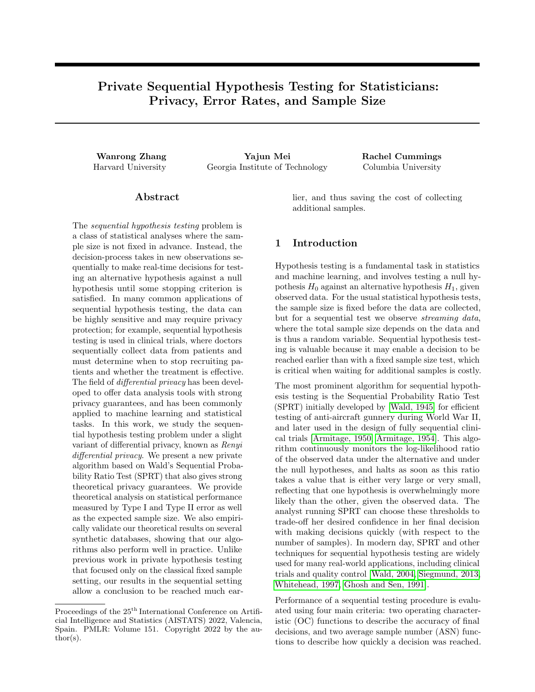# Private Sequential Hypothesis Testing for Statisticians: Privacy, Error Rates, and Sample Size

Wanrong Zhang Yajun Mei Rachel Cummings Harvard University Georgia Institute of Technology Columbia University

# Abstract

The sequential hypothesis testing problem is a class of statistical analyses where the sample size is not fixed in advance. Instead, the decision-process takes in new observations sequentially to make real-time decisions for testing an alternative hypothesis against a null hypothesis until some stopping criterion is satisfied. In many common applications of sequential hypothesis testing, the data can be highly sensitive and may require privacy protection; for example, sequential hypothesis testing is used in clinical trials, where doctors sequentially collect data from patients and must determine when to stop recruiting patients and whether the treatment is effective. The field of *differential privacy* has been developed to offer data analysis tools with strong privacy guarantees, and has been commonly applied to machine learning and statistical tasks. In this work, we study the sequential hypothesis testing problem under a slight variant of differential privacy, known as Renyi differential privacy. We present a new private algorithm based on Wald's Sequential Probability Ratio Test (SPRT) that also gives strong theoretical privacy guarantees. We provide theoretical analysis on statistical performance measured by Type I and Type II error as well as the expected sample size. We also empirically validate our theoretical results on several synthetic databases, showing that our algorithms also perform well in practice. Unlike previous work in private hypothesis testing that focused only on the classical fixed sample setting, our results in the sequential setting allow a conclusion to be reached much earlier, and thus saving the cost of collecting additional samples.

# 1 Introduction

Hypothesis testing is a fundamental task in statistics and machine learning, and involves testing a null hypothesis  $H_0$  against an alternative hypothesis  $H_1$ , given observed data. For the usual statistical hypothesis tests, the sample size is fixed before the data are collected, but for a sequential test we observe streaming data, where the total sample size depends on the data and is thus a random variable. Sequential hypothesis testing is valuable because it may enable a decision to be reached earlier than with a fixed sample size test, which is critical when waiting for additional samples is costly.

The most prominent algorithm for sequential hypothesis testing is the Sequential Probability Ratio Test (SPRT) initially developed by [\[Wald, 1945\]](#page-10-0) for efficient testing of anti-aircraft gunnery during World War II, and later used in the design of fully sequential clinical trials [\[Armitage, 1950,](#page-9-0) [Armitage, 1954\]](#page-9-1). This algorithm continuously monitors the log-likelihood ratio of the observed data under the alternative and under the null hypotheses, and halts as soon as this ratio takes a value that is either very large or very small, reflecting that one hypothesis is overwhelmingly more likely than the other, given the observed data. The analyst running SPRT can choose these thresholds to trade-off her desired confidence in her final decision with making decisions quickly (with respect to the number of samples). In modern day, SPRT and other techniques for sequential hypothesis testing are widely used for many real-world applications, including clinical trials and quality control [\[Wald, 2004,](#page-10-1) [Siegmund, 2013,](#page-10-2) [Whitehead, 1997,](#page-10-3) [Ghosh and Sen, 1991\]](#page-9-2).

Performance of a sequential testing procedure is evaluated using four main criteria: two operating characteristic (OC) functions to describe the accuracy of final decisions, and two average sample number (ASN) functions to describe how quickly a decision was reached.

Proceedings of the  $25^{\mathrm{th}}$  International Conference on Artificial Intelligence and Statistics (AISTATS) 2022, Valencia, Spain. PMLR: Volume 151. Copyright 2022 by the au- $\text{thor}(s)$ .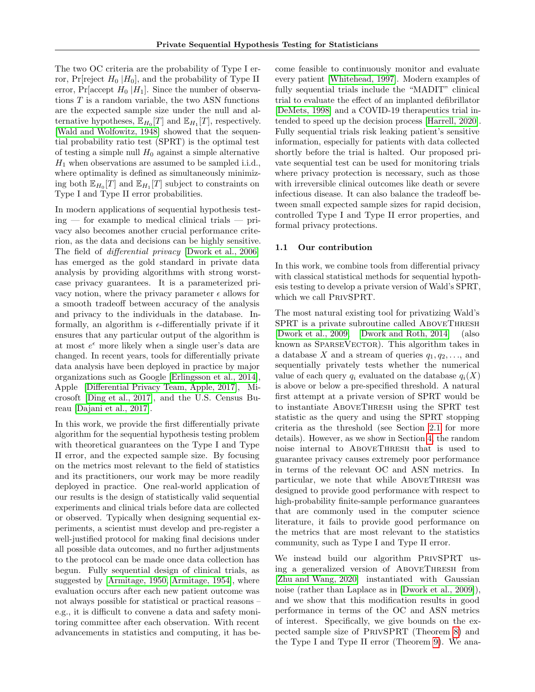The two OC criteria are the probability of Type I error, Pr[reject  $H_0$  | $H_0$ ], and the probability of Type II error, Pr[accept  $H_0$  |H<sub>1</sub>]. Since the number of observations  $T$  is a random variable, the two ASN functions are the expected sample size under the null and alternative hypotheses,  $\mathbb{E}_{H_0}[T]$  and  $\mathbb{E}_{H_1}[T]$ , respectively. [\[Wald and Wolfowitz, 1948\]](#page-10-4) showed that the sequential probability ratio test (SPRT) is the optimal test of testing a simple null  $H_0$  against a simple alternative  $H_1$  when observations are assumed to be sampled i.i.d., where optimality is defined as simultaneously minimizing both  $\mathbb{E}_{H_0}[T]$  and  $\mathbb{E}_{H_1}[T]$  subject to constraints on Type I and Type II error probabilities.

In modern applications of sequential hypothesis test $ing$  — for example to medical clinical trials — privacy also becomes another crucial performance criterion, as the data and decisions can be highly sensitive. The field of *differential privacy* [\[Dwork et al., 2006\]](#page-9-3) has emerged as the gold standard in private data analysis by providing algorithms with strong worstcase privacy guarantees. It is a parameterized privacy notion, where the privacy parameter  $\epsilon$  allows for a smooth tradeoff between accuracy of the analysis and privacy to the individuals in the database. Informally, an algorithm is  $\epsilon$ -differentially private if it ensures that any particular output of the algorithm is at most  $e^{\epsilon}$  more likely when a single user's data are changed. In recent years, tools for differentially private data analysis have been deployed in practice by major organizations such as Google [\[Erlingsson et al., 2014\]](#page-9-4), Apple [\[Differential Privacy Team, Apple, 2017\]](#page-9-5), Microsoft [\[Ding et al., 2017\]](#page-9-6), and the U.S. Census Bureau [\[Dajani et al., 2017\]](#page-9-7).

In this work, we provide the first differentially private algorithm for the sequential hypothesis testing problem with theoretical guarantees on the Type I and Type II error, and the expected sample size. By focusing on the metrics most relevant to the field of statistics and its practitioners, our work may be more readily deployed in practice. One real-world application of our results is the design of statistically valid sequential experiments and clinical trials before data are collected or observed. Typically when designing sequential experiments, a scientist must develop and pre-register a well-justified protocol for making final decisions under all possible data outcomes, and no further adjustments to the protocol can be made once data collection has begun. Fully sequential design of clinical trials, as suggested by [\[Armitage, 1950,](#page-9-0) [Armitage, 1954\]](#page-9-1), where evaluation occurs after each new patient outcome was not always possible for statistical or practical reasons – e.g., it is difficult to convene a data and safety monitoring committee after each observation. With recent advancements in statistics and computing, it has become feasible to continuously monitor and evaluate every patient [\[Whitehead, 1997\]](#page-10-3). Modern examples of fully sequential trials include the "MADIT" clinical trial to evaluate the effect of an implanted defibrillator [\[DeMets, 1998\]](#page-9-8) and a COVID-19 therapeutics trial intended to speed up the decision process [\[Harrell, 2020\]](#page-9-9). Fully sequential trials risk leaking patient's sensitive information, especially for patients with data collected shortly before the trial is halted. Our proposed private sequential test can be used for monitoring trials where privacy protection is necessary, such as those with irreversible clinical outcomes like death or severe infectious disease. It can also balance the tradeoff between small expected sample sizes for rapid decision, controlled Type I and Type II error properties, and formal privacy protections.

## 1.1 Our contribution

In this work, we combine tools from differential privacy with classical statistical methods for sequential hypothesis testing to develop a private version of Wald's SPRT, which we call PrivSPRT.

The most natural existing tool for privatizing Wald's SPRT is a private subroutine called AboveThresh [\[Dwork et al., 2009,](#page-9-10) [Dwork and Roth, 2014\]](#page-9-11) (also known as SPARSEVECTOR). This algorithm takes in a database X and a stream of queries  $q_1, q_2, \ldots$ , and sequentially privately tests whether the numerical value of each query  $q_i$  evaluated on the database  $q_i(X)$ is above or below a pre-specified threshold. A natural first attempt at a private version of SPRT would be to instantiate AboveThresh using the SPRT test statistic as the query and using the SPRT stopping criteria as the threshold (see Section [2.1](#page-2-0) for more details). However, as we show in Section [4,](#page-7-0) the random noise internal to ABOVETHRESH that is used to guarantee privacy causes extremely poor performance in terms of the relevant OC and ASN metrics. In particular, we note that while AboveThresh was designed to provide good performance with respect to high-probability finite-sample performance guarantees that are commonly used in the computer science literature, it fails to provide good performance on the metrics that are most relevant to the statistics community, such as Type I and Type II error.

We instead build our algorithm PRIVSPRT using a generalized version of AboveThresh from [\[Zhu and Wang, 2020\]](#page-10-5) instantiated with Gaussian noise (rather than Laplace as in [\[Dwork et al., 2009\]](#page-9-10)), and we show that this modification results in good performance in terms of the OC and ASN metrics of interest. Specifically, we give bounds on the expected sample size of PrivSPRT (Theorem [8\)](#page-6-0) and the Type I and Type II error (Theorem [9\)](#page-7-1). We ana-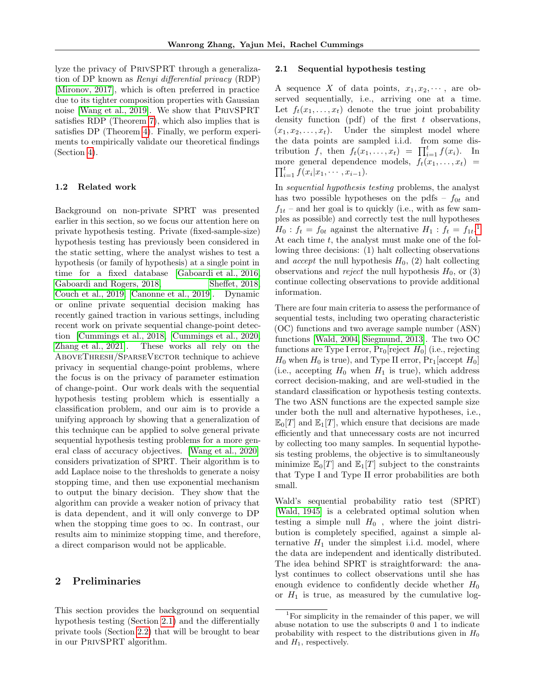lyze the privacy of PrivSPRT through a generalization of DP known as Renyi differential privacy (RDP) [\[Mironov, 2017\]](#page-10-6), which is often preferred in practice due to its tighter composition properties with Gaussian noise [\[Wang et al., 2019\]](#page-10-7). We show that PrivSPRT satisfies RDP (Theorem [7\)](#page-6-1), which also implies that is satisfies DP (Theorem [4\)](#page-3-0). Finally, we perform experiments to empirically validate our theoretical findings (Section [4\)](#page-7-0).

## 1.2 Related work

Background on non-private SPRT was presented earlier in this section, so we focus our attention here on private hypothesis testing. Private (fixed-sample-size) hypothesis testing has previously been considered in the static setting, where the analyst wishes to test a hypothesis (or family of hypothesis) at a single point in time for a fixed database [\[Gaboardi et al., 2016,](#page-9-12) [Gaboardi and Rogers, 2018,](#page-9-13) [Sheffet, 2018,](#page-10-8) [Couch et al., 2019,](#page-9-14) [Canonne et al., 2019\]](#page-9-15). Dynamic or online private sequential decision making has recently gained traction in various settings, including recent work on private sequential change-point detection [\[Cummings et al., 2018,](#page-9-16) [Cummings et al., 2020,](#page-9-17) [Zhang et al., 2021\]](#page-10-9). These works all rely on the AboveThresh/SparseVector technique to achieve privacy in sequential change-point problems, where the focus is on the privacy of parameter estimation of change-point. Our work deals with the sequential hypothesis testing problem which is essentially a classification problem, and our aim is to provide a unifying approach by showing that a generalization of this technique can be applied to solve general private sequential hypothesis testing problems for a more general class of accuracy objectives. [\[Wang et al., 2020\]](#page-10-10) considers privatization of SPRT. Their algorithm is to add Laplace noise to the thresholds to generate a noisy stopping time, and then use exponential mechanism to output the binary decision. They show that the algorithm can provide a weaker notion of privacy that is data dependent, and it will only converge to DP when the stopping time goes to  $\infty$ . In contrast, our results aim to minimize stopping time, and therefore, a direct comparison would not be applicable.

# 2 Preliminaries

This section provides the background on sequential hypothesis testing (Section [2.1\)](#page-2-0) and the differentially private tools (Section [2.2\)](#page-3-1) that will be brought to bear in our PrivSPRT algorithm.

## <span id="page-2-0"></span>2.1 Sequential hypothesis testing

A sequence X of data points,  $x_1, x_2, \dots$ , are observed sequentially, i.e., arriving one at a time. Let  $f_t(x_1, \ldots, x_t)$  denote the true joint probability density function (pdf) of the first  $t$  observations,  $(x_1, x_2, \ldots, x_t)$ . Under the simplest model where the data points are sampled i.i.d. from some distribution f, then  $f_t(x_1, \ldots, x_t) = \prod_{i=1}^t f(x_i)$ . In more general dependence models,  $f_t(x_1, \ldots, x_t)$  =  $\prod_{i=1}^t \breve{f}(x_i | x_1, \cdots, x_{i-1}).$ 

In sequential hypothesis testing problems, the analyst has two possible hypotheses on the pdfs –  $f_{0t}$  and  $f_{1t}$  – and her goal is to quickly (i.e., with as few samples as possible) and correctly test the null hypotheses  $H_0: f_t = f_{0t}$  against the alternative  $H_1: f_t = f_{1t}.$  $H_1: f_t = f_{1t}.$  $H_1: f_t = f_{1t}.$ <sup>1</sup> At each time  $t$ , the analyst must make one of the following three decisions: (1) halt collecting observations and *accept* the null hypothesis  $H_0$ , (2) halt collecting observations and *reject* the null hypothesis  $H_0$ , or (3) continue collecting observations to provide additional information.

There are four main criteria to assess the performance of sequential tests, including two operating characteristic (OC) functions and two average sample number (ASN) functions [\[Wald, 2004,](#page-10-1) [Siegmund, 2013\]](#page-10-2). The two OC functions are Type I error,  $Pr_0$ [reject  $H_0$ ] (i.e., rejecting  $H_0$  when  $H_0$  is true), and Type II error,  $Pr_1$ [accept  $H_0$ ] (i.e., accepting  $H_0$  when  $H_1$  is true), which address correct decision-making, and are well-studied in the standard classification or hypothesis testing contexts. The two ASN functions are the expected sample size under both the null and alternative hypotheses, i.e.,  $\mathbb{E}_0[T]$  and  $\mathbb{E}_1[T]$ , which ensure that decisions are made efficiently and that unnecessary costs are not incurred by collecting too many samples. In sequential hypothesis testing problems, the objective is to simultaneously minimize  $\mathbb{E}_0[T]$  and  $\mathbb{E}_1[T]$  subject to the constraints that Type I and Type II error probabilities are both small.

Wald's sequential probability ratio test (SPRT) [\[Wald, 1945\]](#page-10-0) is a celebrated optimal solution when testing a simple null  $H_0$ , where the joint distribution is completely specified, against a simple alternative  $H_1$  under the simplest i.i.d. model, where the data are independent and identically distributed. The idea behind SPRT is straightforward: the analyst continues to collect observations until she has enough evidence to confidently decide whether  $H_0$ or  $H_1$  is true, as measured by the cumulative log-

<span id="page-2-1"></span><sup>&</sup>lt;sup>1</sup>For simplicity in the remainder of this paper, we will abuse notation to use the subscripts 0 and 1 to indicate probability with respect to the distributions given in  $H_0$ and  $H_1$ , respectively.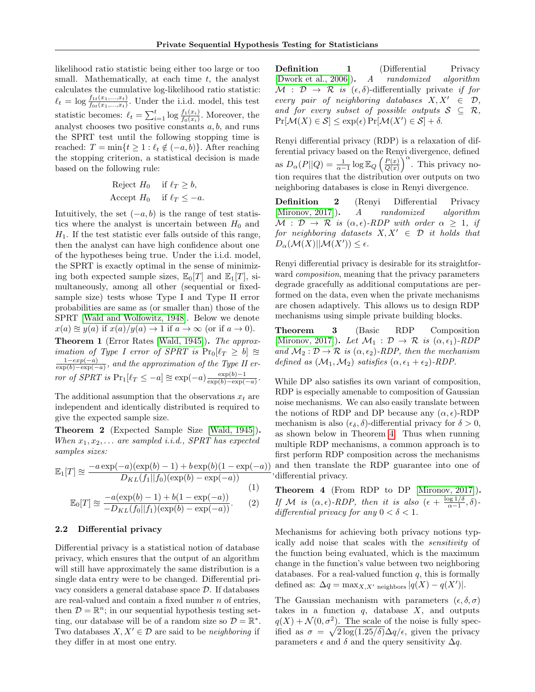likelihood ratio statistic being either too large or too small. Mathematically, at each time  $t$ , the analyst calculates the cumulative log-likelihood ratio statistic:  $\ell_t = \log \frac{f_{1t}(x_1,...,x_t)}{f_{0t}(x_1,...,x_t)}$ . Under the i.i.d. model, this test statistic becomes:  $\ell_t = \sum_{i=1}^t \log \frac{f_1(x_i)}{f_0(x_i)}$ . Moreover, the analyst chooses two positive constants  $a, b$ , and runs the SPRT test until the following stopping time is reached:  $T = \min\{t \geq 1 : \ell_t \notin (-a, b)\}.$  After reaching the stopping criterion, a statistical decision is made based on the following rule:

$$
\begin{aligned}\n\text{Reject } H_0 & \text{if } \ell_T \ge b, \\
\text{Accept } H_0 & \text{if } \ell_T \le -a.\n\end{aligned}
$$

Intuitively, the set  $(-a, b)$  is the range of test statistics where the analyst is uncertain between  $H_0$  and  $H_1$ . If the test statistic ever falls outside of this range, then the analyst can have high confidence about one of the hypotheses being true. Under the i.i.d. model, the SPRT is exactly optimal in the sense of minimizing both expected sample sizes,  $\mathbb{E}_0[T]$  and  $\mathbb{E}_1[T]$ , simultaneously, among all other (sequential or fixedsample size) tests whose Type I and Type II error probabilities are same as (or smaller than) those of the SPRT [\[Wald and Wolfowitz, 1948\]](#page-10-4). Below we denote  $x(a) \approx y(a)$  if  $x(a)/y(a) \to 1$  if  $a \to \infty$  (or if  $a \to 0$ ). Theorem 1 (Error Rates [\[Wald, 1945\]](#page-10-0)). The approx-

*imation of Type I error of SPRT is*  $Pr_0[\ell_T \geq b] \approx$  $1-exp(-a)$  $\frac{1-exp(-a)}{\exp(b) - exp(-a)}$ , and the approximation of the Type II error of SPRT is  $Pr_1[\ell_T \leq -a] \approx \exp(-a) \frac{\exp(b)-1}{\exp(b)-\exp(b)}$  $\frac{\exp(\theta)-1}{\exp(b)-\exp(-a)}$ .

The additional assumption that the observations  $x_t$  are independent and identically distributed is required to give the expected sample size.

Theorem 2 (Expected Sample Size [\[Wald, 1945\]](#page-10-0)). When  $x_1, x_2, \ldots$  are sampled i.i.d., SPRT has expected samples sizes:

$$
\mathbb{E}_1[T] \approx \frac{-a \exp(-a)(\exp(b) - 1) + b \exp(b)(1 - \exp(-a))}{D_{KL}(f_1||f_0)(\exp(b) - \exp(-a))},
$$
(1)

$$
\mathbb{E}_0[T] \approx \frac{-a(\exp(b) - 1) + b(1 - \exp(-a))}{-D_{KL}(f_0||f_1)(\exp(b) - \exp(-a))}.
$$
 (1)

<span id="page-3-1"></span>2.2 Differential privacy

Differential privacy is a statistical notion of database privacy, which ensures that the output of an algorithm will still have approximately the same distribution is a single data entry were to be changed. Differential privacy considers a general database space D. If databases are real-valued and contain a fixed number n of entries, then  $\mathcal{D} = \mathbb{R}^n$ ; in our sequential hypothesis testing setting, our database will be of a random size so  $\mathcal{D} = \mathbb{R}^*$ . Two databases  $X, X' \in \mathcal{D}$  are said to be neighboring if they differ in at most one entry.

**Definition** 1 (Differential Privacy [\[Dwork et al., 2006\]](#page-9-3)). A randomized algorithm  $\mathcal{M}: \mathcal{D} \rightarrow \mathcal{R}$  is  $(\epsilon, \delta)$ -differentially private if for every pair of neighboring databases  $X, X' \in \mathcal{D}$ , and for every subset of possible outputs  $S \subseteq \mathcal{R}$ ,  $Pr[\mathcal{M}(X) \in \mathcal{S}] \leq \exp(\epsilon) Pr[\mathcal{M}(X') \in \mathcal{S}] + \delta.$ 

Renyi differential privacy (RDP) is a relaxation of differential privacy based on the Renyi divergence, defined as  $D_{\alpha}(P||Q) = \frac{1}{\alpha-1} \log \mathbb{E}_{Q}\left(\frac{P(x)}{Q(x)}\right)$  $\frac{P(x)}{Q(x)}\Big)^{\alpha}$ . This privacy notion requires that the distribution over outputs on two neighboring databases is close in Renyi divergence.

Definition 2 (Renyi Differential Privacy [\[Mironov, 2017\]](#page-10-6)). A randomized algorithm  $M : \mathcal{D} \to \mathcal{R}$  is  $(\alpha, \epsilon)$ -RDP with order  $\alpha \geq 1$ , if for neighboring datasets  $X, X' \in \mathcal{D}$  it holds that  $D_{\alpha}(\mathcal{M}(X)||\mathcal{M}(X')) \leq \epsilon.$ 

Renyi differential privacy is desirable for its straightforward composition, meaning that the privacy parameters degrade gracefully as additional computations are performed on the data, even when the private mechanisms are chosen adaptively. This allows us to design RDP mechanisms using simple private building blocks.

Theorem 3 (Basic RDP Composition [\[Mironov, 2017\]](#page-10-6)). Let  $\mathcal{M}_1$  :  $\mathcal{D} \to \mathcal{R}$  is  $(\alpha, \epsilon_1)$ -RDP and  $\mathcal{M}_2 : \mathcal{D} \to \mathcal{R}$  is  $(\alpha, \epsilon_2)$ -RDP, then the mechanism defined as  $(\mathcal{M}_1, \mathcal{M}_2)$  satisfies  $(\alpha, \epsilon_1 + \epsilon_2)$ -RDP.

While DP also satisfies its own variant of composition, RDP is especially amenable to composition of Gaussian noise mechanisms. We can also easily translate between the notions of RDP and DP because any  $(\alpha, \epsilon)$ -RDP mechanism is also  $(\epsilon_{\delta}, \delta)$ -differential privacy for  $\delta > 0$ , as shown below in Theorem [4.](#page-3-0) Thus when running multiple RDP mechanisms, a common approach is to first perform RDP composition across the mechanisms and then translate the RDP guarantee into one of differential privacy.

<span id="page-3-0"></span>Theorem 4 (From RDP to DP [\[Mironov, 2017\]](#page-10-6)). If M is  $(\alpha, \epsilon)$ -RDP, then it is also  $(\epsilon + \frac{\log 1/\delta}{\alpha-1})$  $\frac{\log 1/\delta}{\alpha-1}, \delta$ )differential privacy for any  $0 < \delta < 1$ .

Mechanisms for achieving both privacy notions typically add noise that scales with the sensitivity of the function being evaluated, which is the maximum change in the function's value between two neighboring databases. For a real-valued function  $q$ , this is formally defined as:  $\Delta q = \max_{X, X' \text{ neighbors}} |q(X) - q(X')|.$ 

The Gaussian mechanism with parameters  $(\epsilon, \delta, \sigma)$ takes in a function  $q$ , database  $X$ , and outputs  $q(X) + \mathcal{N}(0, \sigma^2)$ . The scale of the noise is fully specified as  $\sigma = \sqrt{2 \log(1.25/\delta)} \Delta q / \epsilon$ , given the privacy parameters  $\epsilon$  and  $\delta$  and the query sensitivity  $\Delta q$ .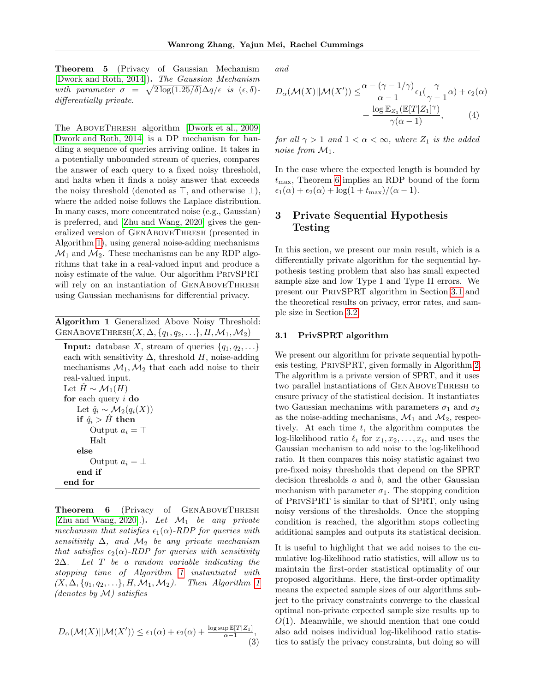Theorem 5 (Privacy of Gaussian Mechanism [\[Dwork and Roth, 2014\]](#page-9-11)). The Gaussian Mechanism with parameter  $\sigma = \sqrt{2 \log(1.25/\delta)} \Delta q / \epsilon$  is  $(\epsilon, \delta)$ differentially private.

The ABOVETHRESH algorithm [\[Dwork et al., 2009,](#page-9-10) [Dwork and Roth, 2014\]](#page-9-11) is a DP mechanism for handling a sequence of queries arriving online. It takes in a potentially unbounded stream of queries, compares the answer of each query to a fixed noisy threshold, and halts when it finds a noisy answer that exceeds the noisy threshold (denoted as  $\top$ , and otherwise  $\bot$ ), where the added noise follows the Laplace distribution. In many cases, more concentrated noise (e.g., Gaussian) is preferred, and [\[Zhu and Wang, 2020\]](#page-10-5) gives the generalized version of GenAboveThresh (presented in Algorithm [1\)](#page-4-0), using general noise-adding mechanisms  $\mathcal{M}_1$  and  $\mathcal{M}_2$ . These mechanisms can be any RDP algorithms that take in a real-valued input and produce a noisy estimate of the value. Our algorithm PrivSPRT will rely on an instantiation of GenAboveThresh using Gaussian mechanisms for differential privacy.

<span id="page-4-0"></span>Algorithm 1 Generalized Above Noisy Threshold: GENABOVETHRESH $(X, \Delta, \{q_1, q_2, \ldots\}, H, \mathcal{M}_1, \mathcal{M}_2)$ 

**Input:** database X, stream of queries  $\{q_1, q_2, \ldots\}$ each with sensitivity  $\Delta$ , threshold H, noise-adding mechanisms  $\mathcal{M}_1, \mathcal{M}_2$  that each add noise to their real-valued input. Let  $\hat{H} \sim \mathcal{M}_1(H)$ for each query  $i$  do Let  $\hat{q}_i \sim \mathcal{M}_2(q_i(X))$ if  $\hat{q}_i > H$  then Output  $a_i = \top$ Halt else Output  $a_i = \perp$ end if end for

<span id="page-4-1"></span>Theorem 6 (Privacy of GENABOVETHRESH [\[Zhu and Wang, 2020\]](#page-10-5).). Let  $\mathcal{M}_1$  be any private mechanism that satisfies  $\epsilon_1(\alpha)$ -RDP for queries with sensitivity  $\Delta$ , and  $\mathcal{M}_2$  be any private mechanism that satisfies  $\epsilon_2(\alpha)$ -RDP for queries with sensitivity 2∆. Let T be a random variable indicating the stopping time of Algorithm [1](#page-4-0) instantiated with  $(X, \Delta, \{q_1, q_2, \ldots\}, H, \mathcal{M}_1, \mathcal{M}_2)$ . Then Algorithm [1](#page-4-0) (denotes by  $\mathcal{M}$ ) satisfies

<span id="page-4-3"></span>
$$
D_{\alpha}(\mathcal{M}(X)||\mathcal{M}(X')) \le \epsilon_1(\alpha) + \epsilon_2(\alpha) + \frac{\log \sup \mathbb{E}[T|Z_1]}{\alpha - 1},
$$
\n(3)

and

<span id="page-4-4"></span>
$$
D_{\alpha}(\mathcal{M}(X)||\mathcal{M}(X')) \leq \frac{\alpha - (\gamma - 1/\gamma)}{\alpha - 1} \epsilon_1(\frac{\gamma}{\gamma - 1}\alpha) + \epsilon_2(\alpha) + \frac{\log \mathbb{E}_{Z_1}(\mathbb{E}[T|Z_1]^\gamma)}{\gamma(\alpha - 1)},\tag{4}
$$

for all  $\gamma > 1$  and  $1 < \alpha < \infty$ , where  $Z_1$  is the added noise from  $\mathcal{M}_1$ .

In the case where the expected length is bounded by  $t_{\text{max}}$ , Theorem [6](#page-4-1) implies an RDP bound of the form  $\epsilon_1(\alpha) + \epsilon_2(\alpha) + \log(1 + t_{\text{max}})/(\alpha - 1).$ 

# 3 Private Sequential Hypothesis Testing

In this section, we present our main result, which is a differentially private algorithm for the sequential hypothesis testing problem that also has small expected sample size and low Type I and Type II errors. We present our PrivSPRT algorithm in Section [3.1](#page-4-2) and the theoretical results on privacy, error rates, and sample size in Section [3.2.](#page-5-0)

#### <span id="page-4-2"></span>3.1 PrivSPRT algorithm

We present our algorithm for private sequential hypothesis testing, PrivSPRT, given formally in Algorithm [2.](#page-5-1) The algorithm is a private version of SPRT, and it uses two parallel instantiations of GenAboveThresh to ensure privacy of the statistical decision. It instantiates two Gaussian mechanims with parameters  $\sigma_1$  and  $\sigma_2$ as the noise-adding mechanisms,  $\mathcal{M}_1$  and  $\mathcal{M}_2$ , respectively. At each time  $t$ , the algorithm computes the log-likelihood ratio  $\ell_t$  for  $x_1, x_2, \ldots, x_t$ , and uses the Gaussian mechanism to add noise to the log-likelihood ratio. It then compares this noisy statistic against two pre-fixed noisy thresholds that depend on the SPRT decision thresholds  $a$  and  $b$ , and the other Gaussian mechanism with parameter  $\sigma_1$ . The stopping condition of PrivSPRT is similar to that of SPRT, only using noisy versions of the thresholds. Once the stopping condition is reached, the algorithm stops collecting additional samples and outputs its statistical decision.

It is useful to highlight that we add noises to the cumulative log-likelihood ratio statistics, will allow us to maintain the first-order statistical optimality of our proposed algorithms. Here, the first-order optimality means the expected sample sizes of our algorithms subject to the privacy constraints converge to the classical optimal non-private expected sample size results up to  $O(1)$ . Meanwhile, we should mention that one could also add noises individual log-likelihood ratio statistics to satisfy the privacy constraints, but doing so will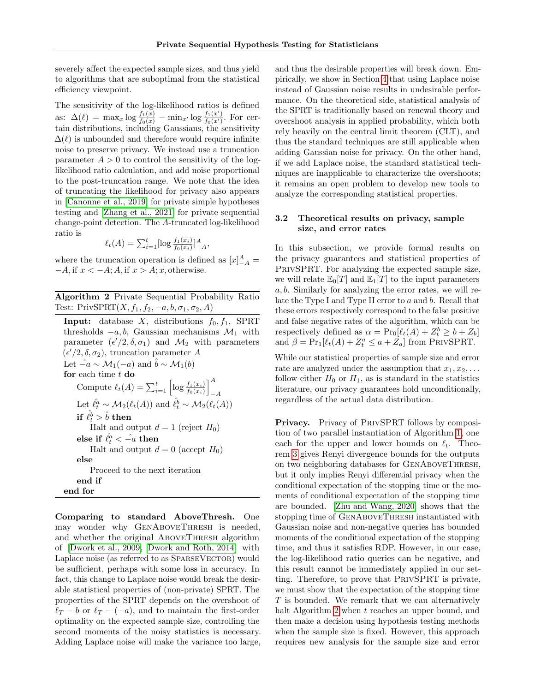severely affect the expected sample sizes, and thus yield to algorithms that are suboptimal from the statistical efficiency viewpoint.

The sensitivity of the log-likelihood ratios is defined as:  $\Delta(\ell) = \max_x \log \frac{f_1(x)}{f_0(x)} - \min_{x'} \log \frac{f_1(x')}{f_0(x')}$ . For certain distributions, including Gaussians, the sensitivity  $\Delta(\ell)$  is unbounded and therefore would require infinite noise to preserve privacy. We instead use a truncation parameter  $A > 0$  to control the sensitivity of the loglikelihood ratio calculation, and add noise proportional to the post-truncation range. We note that the idea of truncating the likelihood for privacy also appears in [\[Canonne et al., 2019\]](#page-9-15) for private simple hypotheses testing and [\[Zhang et al., 2021\]](#page-10-9) for private sequential change-point detection. The A-truncated log-likelihood ratio is

$$
\ell_t(A) = \sum_{i=1}^t [\log \frac{f_1(x_i)}{f_0(x_i)}]_{-A}^A,
$$

where the truncation operation is defined as  $[x]_{-A}^A =$  $-A$ , if  $x < -A$ ;  $A$ , if  $x > A$ ; x, otherwise.

<span id="page-5-1"></span>Algorithm 2 Private Sequential Probability Ratio Test: PrivSPRT $(X, f_1, f_2, -a, b, \sigma_1, \sigma_2, A)$ 

Input: database  $X$ , distributions  $f_0, f_1$ , SPRT thresholds  $-a, b$ , Gaussian mechanisms  $\mathcal{M}_1$  with parameter  $(\epsilon'/2, \delta, \sigma_1)$  and  $\mathcal{M}_2$  with parameters  $(\epsilon'/2, \delta, \sigma_2)$ , truncation parameter A Let  $-\hat{a} \sim \mathcal{M}_1(-a)$  and  $\hat{b} \sim \mathcal{M}_1(b)$ for each time  $t$  do Compute  $\ell_t(A) = \sum_{i=1}^t \left[ \log \frac{f_1(x_i)}{f_0(x_i)} \right]^A$  $-A$ Let  $\hat{\ell}_t^a \sim \mathcal{M}_2(\ell_t(A))$  and  $\hat{\ell}_t^b \sim \mathcal{M}_2(\ell_t(A))$ if  $\hat{\ell}_t^{\hat{b}} > \hat{b}$  then Halt and output  $d = 1$  (reject  $H_0$ ) else if  $\hat{\ell}_t^{\hat{a}} < -\hat{a}$  then Halt and output  $d = 0$  (accept  $H_0$ ) else Proceed to the next iteration end if end for

Comparing to standard AboveThresh. One may wonder why GENABOVETHRESH is needed, and whether the original ABOVETHRESH algorithm of [\[Dwork et al., 2009,](#page-9-10) [Dwork and Roth, 2014\]](#page-9-11) with Laplace noise (as referred to as SPARSEVECTOR) would be sufficient, perhaps with some loss in accuracy. In fact, this change to Laplace noise would break the desirable statistical properties of (non-private) SPRT. The properties of the SPRT depends on the overshoot of  $\ell_T - b$  or  $\ell_T - (-a)$ , and to maintain the first-order optimality on the expected sample size, controlling the second moments of the noisy statistics is necessary. Adding Laplace noise will make the variance too large, and thus the desirable properties will break down. Empirically, we show in Section [4](#page-7-0) that using Laplace noise instead of Gaussian noise results in undesirable performance. On the theoretical side, statistical analysis of the SPRT is traditionally based on renewal theory and overshoot analysis in applied probability, which both rely heavily on the central limit theorem (CLT), and thus the standard techniques are still applicable when adding Gaussian noise for privacy. On the other hand, if we add Laplace noise, the standard statistical techniques are inapplicable to characterize the overshoots; it remains an open problem to develop new tools to analyze the corresponding statistical properties.

## <span id="page-5-0"></span>3.2 Theoretical results on privacy, sample size, and error rates

In this subsection, we provide formal results on the privacy guarantees and statistical properties of PRIVSPRT. For analyzing the expected sample size, we will relate  $\mathbb{E}_0[T]$  and  $\mathbb{E}_1[T]$  to the input parameters  $a, b$ . Similarly for analyzing the error rates, we will relate the Type I and Type II error to a and b. Recall that these errors respectively correspond to the false positive and false negative rates of the algorithm, which can be respectively defined as  $\alpha = \Pr_0[\ell_t(A) + Z_t^b \ge b + Z_b]$ and  $\beta = \Pr_1[\ell_t(A) + Z_t^a \le a + Z_a]$  from PRIVSPRT.

While our statistical properties of sample size and error rate are analyzed under the assumption that  $x_1, x_2, \ldots$ follow either  $H_0$  or  $H_1$ , as is standard in the statistics literature, our privacy guarantees hold unconditionally, regardless of the actual data distribution.

Privacy. Privacy of PRIVSPRT follows by composition of two parallel instantiation of Algorithm [1,](#page-4-0) one each for the upper and lower bounds on  $\ell_t$ . Theorem [3](#page-4-3) gives Renyi divergence bounds for the outputs on two neighboring databases for GenAboveThresh, but it only implies Renyi differential privacy when the conditional expectation of the stopping time or the moments of conditional expectation of the stopping time are bounded. [\[Zhu and Wang, 2020\]](#page-10-5) shows that the stopping time of GenAboveThresh instantiated with Gaussian noise and non-negative queries has bounded moments of the conditional expectation of the stopping time, and thus it satisfies RDP. However, in our case, the log-likelihood ratio queries can be negative, and this result cannot be immediately applied in our setting. Therefore, to prove that PrivSPRT is private, we must show that the expectation of the stopping time  $T$  is bounded. We remark that we can alternatively halt Algorithm [2](#page-5-1) when t reaches an upper bound, and then make a decision using hypothesis testing methods when the sample size is fixed. However, this approach requires new analysis for the sample size and error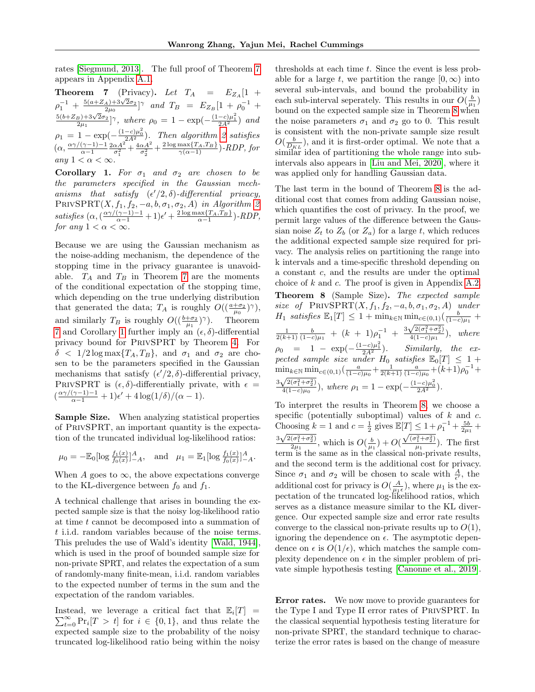rates [\[Siegmund, 2013\]](#page-10-2). The full proof of Theorem [7](#page-6-1) appears in Appendix [A.1.](#page-11-0)

<span id="page-6-1"></span>**Theorem 7** (Privacy). Let  $T_A = E_{Z_A}[1 +$  $\rho_1^{-1} + \frac{5(a+Z_A)+3\sqrt{2}\sigma_2}{2\mu_0}$  $_{(2\mu_0)}^{(A)+3\sqrt{2}\sigma_2}$  | $\gamma$  and  $T_B = E_{Z_B} [1 + \rho_0^{-1} +$  $5(b+Z_B)+3\sqrt{2}\sigma_2$  $\frac{1}{2\mu_1}e^{-\frac{(3\mu_1+3\sqrt{2}\sigma_2)}{2\mu_1}}$  and  $\rho_0 = 1 - \exp(-\frac{(1-c)\mu_1^2}{2A^2})$  and  $\rho_1 = 1 - \exp(-\frac{(1-c)\mu_0^2}{2A^2})$ . Then algorithm [2](#page-5-1) satisfies  $(\alpha, \frac{\alpha \gamma/(\gamma-1)-1}{\alpha-1})$  $\frac{(\gamma-1)-1}{\alpha-1} \frac{2\alpha A^2}{\sigma_1^2} + \frac{4\alpha A^2}{\sigma_2^2} + \frac{2\log \max\{T_A,T_B\}}{\gamma(\alpha-1)}$  - RDP, for any  $1 < \alpha < \infty$ .

<span id="page-6-2"></span>Corollary 1. For  $\sigma_1$  and  $\sigma_2$  are chosen to be the parameters specified in the Gaussian mechanisms that satisfy  $(\epsilon'/2, \delta)$ -differential privacy,  $\text{PRIVSPRT}(X, f_1, f_2, -a, b, \sigma_1, \sigma_2, A)$  in Algorithm [2](#page-5-1) satisfies  $(\alpha, (\frac{\alpha\gamma/(\gamma-1)-1}{\alpha-1}+1)\epsilon'+\frac{2\log\max\{T_A, T_B\}}{\alpha-1})$ -RDP, for any  $1 < \alpha < \infty$ .

Because we are using the Gaussian mechanism as the noise-adding mechanism, the dependence of the stopping time in the privacy guarantee is unavoidable.  $T_A$  and  $T_B$  in Theorem [7](#page-6-1) are the moments of the conditional expectation of the stopping time, which depending on the true underlying distribution that generated the data;  $T_A$  is roughly  $O((\frac{a+\sigma_2}{\mu_0})^{\gamma}),$ and similarly  $T_B$  is roughly  $O((\frac{b+\sigma_2}{\mu_1})^{\gamma})$ . Theorem [7](#page-6-1) and Corollary [1](#page-6-2) further imply an  $(\epsilon, \delta)$  differential privacy bound for PrivSPRT by Theorem [4.](#page-3-0) For  $\delta$  < 1/2 log max $\{T_A, T_B\}$ , and  $\sigma_1$  and  $\sigma_2$  are chosen to be the parameters specified in the Gaussian mechanisms that satisfy  $(\epsilon'/2, \delta)$ -differential privacy, PRIVSPRT is  $(\epsilon, \delta)$ -differentially private, with  $\epsilon =$  $\left(\frac{\alpha \gamma/(\gamma-1)-1}{\alpha-1}+1\right)\epsilon'+4\log(1/\delta)/(\alpha-1).$ 

Sample Size. When analyzing statistical properties of PrivSPRT, an important quantity is the expectation of the truncated individual log-likelihood ratios:

$$
\mu_0 = -\mathbb{E}_0[\log \frac{f_1(x)}{f_0(x)}]_{-A}^A
$$
, and  $\mu_1 = \mathbb{E}_1[\log \frac{f_1(x)}{f_0(x)}]_{-A}^A$ .

When A goes to  $\infty$ , the above expectations converge to the KL-divergence between  $f_0$  and  $f_1$ .

A technical challenge that arises in bounding the expected sample size is that the noisy log-likelihood ratio at time t cannot be decomposed into a summation of t i.i.d. random variables because of the noise terms. This preludes the use of Wald's identity [\[Wald, 1944\]](#page-10-11), which is used in the proof of bounded sample size for non-private SPRT, and relates the expectation of a sum of randomly-many finite-mean, i.i.d. random variables to the expected number of terms in the sum and the expectation of the random variables.

Instead, we leverage a critical fact that  $\mathbb{E}_i[T] =$  $\sum_{t=0}^{\infty} \Pr_i[T > t]$  for  $i \in \{0, 1\}$ , and thus relate the expected sample size to the probability of the noisy truncated log-likelihood ratio being within the noisy

thresholds at each time  $t$ . Since the event is less probable for a large t, we partition the range  $[0, \infty)$  into several sub-intervals, and bound the probability in each sub-interval seperately. This results in our  $O(\frac{b}{\mu_1})$ bound on the expected sample size in Theorem [8](#page-6-0) when the noise parameters  $\sigma_1$  and  $\sigma_2$  go to 0. This result is consistent with the non-private sample size result  $O(\frac{b}{D_{KL}})$ , and it is first-order optimal. We note that a similar idea of partitioning the whole range into subintervals also appears in [\[Liu and Mei, 2020\]](#page-9-18), where it was applied only for handling Gaussian data.

<span id="page-6-0"></span>The last term in the bound of Theorem [8](#page-6-0) is the additional cost that comes from adding Gaussian noise, which quantifies the cost of privacy. In the proof, we permit large values of the difference between the Gaussian noise  $Z_t$  to  $Z_b$  (or  $Z_a$ ) for a large t, which reduces the additional expected sample size required for privacy. The analysis relies on partitioning the range into k intervals and a time-specific threshold depending on a constant c, and the results are under the optimal choice of  $k$  and  $c$ . The proof is given in Appendix [A.2.](#page-12-0) Theorem 8 (Sample Size). The expected sample size of  $\text{PRIVSPRT}(X, f_1, f_2, -a, b, \sigma_1, \sigma_2, A)$  under  $H_1$  satisfies  $\mathbb{E}_1[T] \leq 1 + \min_{k \in \mathbb{N}} \min_{c \in (0,1)} \left( \frac{b}{(1-c)\mu_1} \right)$  $\frac{1}{2(k+1)} \frac{b}{(1-c)\mu_1} + (k+1)\rho_1^{-1} + \frac{3\sqrt{2(\sigma_1^2+\sigma_2^2)}}{4(1-c)\mu_1}$  $\frac{\sqrt{2(0+1)}+0}{4(1-c)\mu_1}$ , where  $\rho_0$  = 1 – exp $(-\frac{(1-c)\mu_1^2}{2A^2})$ . Similarly, the expected sample size under  $H_0$  satisfies  $\mathbb{E}_0[T] \leq 1 +$  $\min_{k \in \mathbb{N}} \min_{c \in (0,1)} \left( \frac{a}{(1-c)\mu_0} + \frac{1}{2(k+1)} \frac{a}{(1-c)\mu_0} + (k+1)\rho_0^{-1} + \right)$  $3\sqrt{2(\sigma_1^2 + \sigma_2^2)}$  $\frac{\sqrt{2(\sigma_1^2+\sigma_2^2)}}{4(1-c)\mu_0}$ , where  $\rho_1=1-\exp(-\frac{(1-c)\mu_0^2}{2A^2})$ .

To interpret the results in Theorem [8,](#page-6-0) we choose a specific (potentially suboptimal) values of  $k$  and  $c$ . Choosing  $k = 1$  and  $c = \frac{1}{2}$  gives  $\mathbb{E}[T] \leq 1 + \rho_1^{-1} + \frac{5b}{2\mu_1} + \cdots$  $\frac{\pi}{3\sqrt{2(\sigma_1^2 + \sigma_2^2)}}$  $\frac{(\sigma_1^2 + \sigma_2^2)}{2\mu_1}$ , which is  $O(\frac{b}{\mu_1}) + O(\frac{b}{\mu_2})$  $\sqrt{(\sigma_1^2 + \sigma_2^2)}$  $\frac{1+o_2}{\mu_1}$ ). The first term is the same as in the classical non-private results, and the second term is the additional cost for privacy. Since  $\sigma_1$  and  $\sigma_2$  will be chosen to scale with  $\frac{A}{\epsilon'}$ , the additional cost for privacy is  $O(\frac{A}{\mu_1 \epsilon})$ , where  $\mu_1$  is the expectation of the truncated log-likelihood ratios, which serves as a distance measure similar to the KL divergence. Our expected sample size and error rate results converge to the classical non-private results up to  $O(1)$ , ignoring the dependence on  $\epsilon$ . The asymptotic dependence on  $\epsilon$  is  $O(1/\epsilon)$ , which matches the sample complexity dependence on  $\epsilon$  in the simpler problem of private simple hypothesis testing [\[Canonne et al., 2019\]](#page-9-15).

Error rates. We now move to provide guarantees for the Type I and Type II error rates of PrivSPRT. In the classical sequential hypothesis testing literature for non-private SPRT, the standard technique to characterize the error rates is based on the change of measure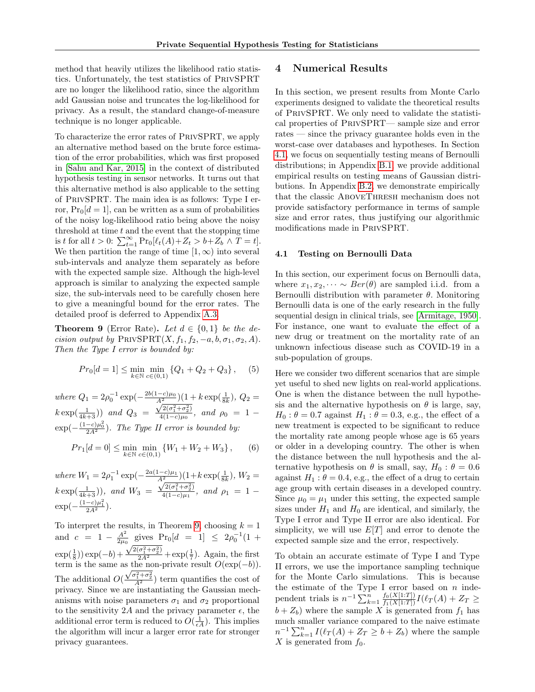method that heavily utilizes the likelihood ratio statistics. Unfortunately, the test statistics of PrivSPRT are no longer the likelihood ratio, since the algorithm add Gaussian noise and truncates the log-likelihood for privacy. As a result, the standard change-of-measure technique is no longer applicable.

To characterize the error rates of PrivSPRT, we apply an alternative method based on the brute force estimation of the error probabilities, which was first proposed in [\[Sahu and Kar, 2015\]](#page-10-12) in the context of distributed hypothesis testing in sensor networks. It turns out that this alternative method is also applicable to the setting of PrivSPRT. The main idea is as follows: Type I error,  $Pr_0[d = 1]$ , can be written as a sum of probabilities of the noisy log-likelihood ratio being above the noisy threshold at time  $t$  and the event that the stopping time is t for all  $t > 0$ :  $\sum_{t=1}^{\infty} \Pr_0[\ell_t(A) + Z_t > b + Z_b] \wedge T = t].$ We then partition the range of time  $[1, \infty)$  into several sub-intervals and analyze them separately as before with the expected sample size. Although the high-level approach is similar to analyzing the expected sample size, the sub-intervals need to be carefully chosen here to give a meaningful bound for the error rates. The detailed proof is deferred to Appendix [A.3.](#page-14-0)

<span id="page-7-1"></span>**Theorem 9** (Error Rate). Let  $d \in \{0, 1\}$  be the decision output by  $\text{PRIVSPRT}(X, f_1, f_2, -a, b, \sigma_1, \sigma_2, A)$ . Then the Type I error is bounded by:

$$
Pr_0[d = 1] \le \min_{k \in \mathbb{N}} \min_{c \in (0,1)} \{Q_1 + Q_2 + Q_3\}, \quad (5)
$$

where  $Q_1 = 2\rho_0^{-1} \exp(-\frac{2b(1-c)\mu_0}{A^2})(1+k \exp(\frac{1}{8k}), Q_2 =$  $k \exp(\frac{1}{4k+3})$  and  $Q_3$  =  $\frac{A^2}{\sqrt{2(\sigma_1^2 + \sigma_2^2)}}$  $\frac{d^2(0.1 + 0.2)}{4(1-c)\mu_0}$ , and  $\rho_0 = 1 \exp(-\frac{(1-c)\mu_0^2}{2A^2})$ . The Type II error is bounded by:

$$
Pr_1[d=0] \le \min_{k \in \mathbb{N}} \min_{c \in (0,1)} \{W_1 + W_2 + W_3\}, \qquad (6)
$$

where  $W_1 = 2\rho_1^{-1} \exp(-\frac{2a(1-c)\mu_1}{A^2})(1+k \exp(\frac{1}{8k}), W_2 =$  $k \exp(\frac{1}{4k+3})$ , and  $W_3 =$  $\frac{A^2}{\sqrt{2(\sigma_1^2 + \sigma_2^2)}}$  $\frac{\sqrt{2(0+1)}(1-c)}{4(1-c)\mu_1}$ , and  $\rho_1 = 1 \exp(-\frac{(1-c)\mu_1^2}{2A^2}).$ 

To interpret the results, in Theorem [9,](#page-7-1) choosing  $k = 1$ and  $c = 1 - \frac{A^2}{2m}$  $\frac{A^2}{2\mu_0}$  gives Pr<sub>0</sub>[d = 1]  $\leq 2\rho_0^{-1}(1 +$  $\exp(\frac{1}{8})\exp(-b) +$  $\frac{\sqrt{2(\sigma_1^2 + \sigma_2^2)}}{2A^2} + \exp(\frac{1}{7})$ . Again, the first term is the same as the non-private result  $O(\exp(-b))$ . The additional  $O(\frac{\sqrt{\sigma_1^2+\sigma_2^2}}{A^2})$  term quantifies the cost of privacy. Since we are instantiating the Gaussian mechanisms with noise parameters  $\sigma_1$  and  $\sigma_2$  proportional to the sensitivity 2A and the privacy parameter  $\epsilon$ , the additional error term is reduced to  $O(\frac{1}{\epsilon A})$ . This implies the algorithm will incur a larger error rate for stronger privacy guarantees.

## <span id="page-7-0"></span>4 Numerical Results

In this section, we present results from Monte Carlo experiments designed to validate the theoretical results of PrivSPRT. We only need to validate the statistical properties of PrivSPRT— sample size and error rates — since the privacy guarantee holds even in the worst-case over databases and hypotheses. In Section [4.1,](#page-7-2) we focus on sequentially testing means of Bernoulli distributions; in Appendix [B.1,](#page-15-0) we provide additional empirical results on testing means of Gaussian distributions. In Appendix [B.2,](#page-16-0) we demonstrate empirically that the classic AboveThresh mechanism does not provide satisfactory performance in terms of sample size and error rates, thus justifying our algorithmic modifications made in PrivSPRT.

#### <span id="page-7-2"></span>4.1 Testing on Bernoulli Data

In this section, our experiment focus on Bernoulli data, where  $x_1, x_2, \dots \sim Ber(\theta)$  are sampled i.i.d. from a Bernoulli distribution with parameter  $\theta$ . Monitoring Bernoulli data is one of the early research in the fully sequential design in clinical trials, see [\[Armitage, 1950\]](#page-9-0). For instance, one want to evaluate the effect of a new drug or treatment on the mortality rate of an unknown infectious disease such as COVID-19 in a sub-population of groups.

Here we consider two different scenarios that are simple yet useful to shed new lights on real-world applications. One is when the distance between the null hypothesis and the alternative hypothesis on  $\theta$  is large, say,  $H_0$ :  $\theta = 0.7$  against  $H_1$ :  $\theta = 0.3$ , e.g., the effect of a new treatment is expected to be significant to reduce the mortality rate among people whose age is 65 years or older in a developing country. The other is when the distance between the null hypothesis and the alternative hypothesis on  $\theta$  is small, say,  $H_0$ :  $\theta = 0.6$ against  $H_1$ :  $\theta = 0.4$ , e.g., the effect of a drug to certain age group with certain diseases in a developed country. Since  $\mu_0 = \mu_1$  under this setting, the expected sample sizes under  $H_1$  and  $H_0$  are identical, and similarly, the Type I error and Type II error are also identical. For simplicity, we will use  $E[T]$  and error to denote the expected sample size and the error, respectively.

To obtain an accurate estimate of Type I and Type II errors, we use the importance sampling technique for the Monte Carlo simulations. This is because the estimate of the Type I error based on  $n$  independent trials is  $n^{-1} \sum_{k=1}^{n} \frac{f_0(X[1:T])}{f_1(X[1:T])} I(\ell_T(A) + Z_T \geq$  $b + Z_b$ ) where the sample X is generated from  $f_1$  has much smaller variance compared to the naive estimate  $n^{-1} \sum_{k=1}^{n} I(\ell_T(A) + Z_T \geq b + Z_b)$  where the sample X is generated from  $f_0$ .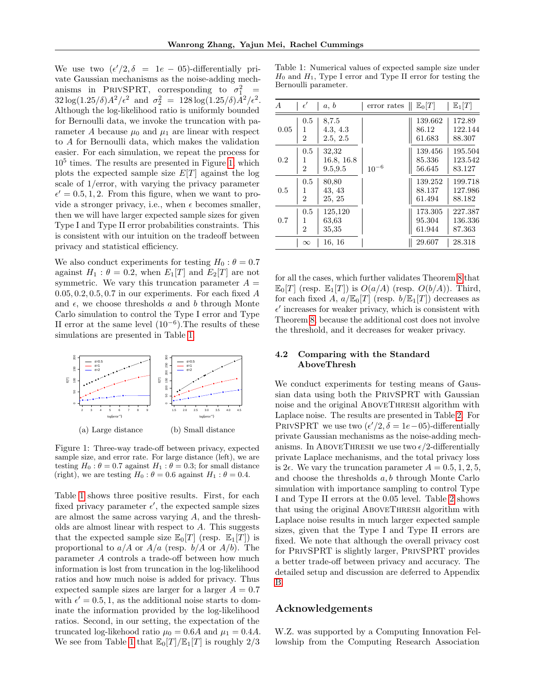We use two  $(\epsilon'/2, \delta = 1e - 05)$ -differentially private Gaussian mechanisms as the noise-adding mechanisms in PRIVSPRT, corresponding to  $\sigma_1^2$  =  $32\log(1.25/\delta)A^2/\epsilon^2$  and  $\sigma_2^2 = 128\log(1.25/\delta)A^2/\epsilon^2$ . Although the log-likelihood ratio is uniformly bounded for Bernoulli data, we invoke the truncation with parameter A because  $\mu_0$  and  $\mu_1$  are linear with respect to A for Bernoulli data, which makes the validation easier. For each simulation, we repeat the process for 10<sup>5</sup> times. The results are presented in Figure [1,](#page-8-0) which plots the expected sample size  $E[T]$  against the log scale of 1/error, with varying the privacy parameter  $\epsilon' = 0.5, 1, 2$ . From this figure, when we want to provide a stronger privacy, i.e., when  $\epsilon$  becomes smaller, then we will have larger expected sample sizes for given Type I and Type II error probabilities constraints. This is consistent with our intuition on the tradeoff between privacy and statistical efficiency.

We also conduct experiments for testing  $H_0$ :  $\theta = 0.7$ against  $H_1$ :  $\theta = 0.2$ , when  $E_1[T]$  and  $E_2[T]$  are not symmetric. We vary this truncation parameter  $A =$  $0.05, 0.2, 0.5, 0.7$  in our experiments. For each fixed A and  $\epsilon$ , we choose thresholds a and b through Monte Carlo simulation to control the Type I error and Type II error at the same level  $(10^{-6})$ . The results of these simulations are presented in Table [1.](#page-8-1)

<span id="page-8-0"></span>

Figure 1: Three-way trade-off between privacy, expected sample size, and error rate. For large distance (left), we are testing  $H_0$ :  $\theta = 0.7$  against  $H_1$ :  $\theta = 0.3$ ; for small distance (right), we are testing  $H_0$ :  $\theta = 0.6$  against  $H_1$ :  $\theta = 0.4$ .

Table [1](#page-8-1) shows three positive results. First, for each fixed privacy parameter  $\epsilon'$ , the expected sample sizes are almost the same across varying A, and the thresholds are almost linear with respect to A. This suggests that the expected sample size  $\mathbb{E}_0[T]$  (resp.  $\mathbb{E}_1[T]$ ) is proportional to  $a/A$  or  $A/a$  (resp.  $b/A$  or  $A/b$ ). The parameter A controls a trade-off between how much information is lost from truncation in the log-likelihood ratios and how much noise is added for privacy. Thus expected sample sizes are larger for a larger  $A = 0.7$ with  $\epsilon' = 0.5, 1$ , as the additional noise starts to dominate the information provided by the log-likelihood ratios. Second, in our setting, the expectation of the truncated log-likehood ratio  $\mu_0 = 0.6A$  and  $\mu_1 = 0.4A$ . We see from Table [1](#page-8-1) that  $\mathbb{E}_0[T]/\mathbb{E}_1[T]$  is roughly  $2/3$ 

<span id="page-8-1"></span>Table 1: Numerical values of expected sample size under  $H_0$  and  $H_1$ , Type I error and Type II error for testing the Bernoulli parameter.

| $\boldsymbol{A}$ | $\epsilon'$                | a, b                           | error rates<br>Π | $\mathbb{E}_0[T]$           | $\mathbb{E}_1[T]$            |
|------------------|----------------------------|--------------------------------|------------------|-----------------------------|------------------------------|
| 0.05             | 0.5<br>1<br>$\overline{2}$ | 8,7.5<br>4.3, 4.3<br>2.5, 2.5  |                  | 139.662<br>86.12<br>61.683  | 172.89<br>122.144<br>88.307  |
| 0.2              | 0.5<br>1<br>$\overline{2}$ | 32,32<br>16.8, 16.8<br>9.5.9.5 | $10^{-6}\,$      | 139.456<br>85.336<br>56.645 | 195.504<br>123.542<br>83.127 |
| 0.5              | 0.5<br>1<br>$\overline{2}$ | 80,80<br>43, 43<br>25, 25      |                  | 139.252<br>88.137<br>61.494 | 199.718<br>127.986<br>88.182 |
| 0.7              | 0.5<br>1<br>$\overline{2}$ | 125,120<br>63.63<br>35,35      |                  | 173.305<br>95.304<br>61.944 | 227.387<br>136.336<br>87.363 |
|                  | $\infty$                   | 16, 16                         |                  | 29.607                      | 28.318                       |

for all the cases, which further validates Theorem [8](#page-6-0) that  $\mathbb{E}_0[T]$  (resp.  $\mathbb{E}_1[T]$ ) is  $O(a/A)$  (resp.  $O(b/A)$ ). Third, for each fixed A,  $a/\mathbb{E}_0[T]$  (resp.  $b/\mathbb{E}_1[T]$ ) decreases as  $\epsilon'$  increases for weaker privacy, which is consistent with Theorem [8,](#page-6-0) because the additional cost does not involve the threshold, and it decreases for weaker privacy.

## 4.2 Comparing with the Standard AboveThresh

We conduct experiments for testing means of Gaussian data using both the PrivSPRT with Gaussian noise and the original ABOVETHRESH algorithm with Laplace noise. The results are presented in Table [2.](#page-17-0) For PRIVSPRT we use two  $(\epsilon'/2, \delta = 1e-05)$ -differentially private Gaussian mechanisms as the noise-adding mechanisms. In ABOVETHRESH we use two  $\epsilon/2$ -differentially private Laplace mechanisms, and the total privacy loss is  $2\epsilon$ . We vary the truncation parameter  $A = 0.5, 1, 2, 5$ , and choose the thresholds a, b through Monte Carlo simulation with importance sampling to control Type I and Type II errors at the 0.05 level. Table [2](#page-17-0) shows that using the original ABOVETHRESH algorithm with Laplace noise results in much larger expected sample sizes, given that the Type I and Type II errors are fixed. We note that although the overall privacy cost for PrivSPRT is slightly larger, PrivSPRT provides a better trade-off between privacy and accuracy. The detailed setup and discussion are deferred to Appendix [B.](#page-15-1)

#### Acknowledgements

W.Z. was supported by a Computing Innovation Fellowship from the Computing Research Association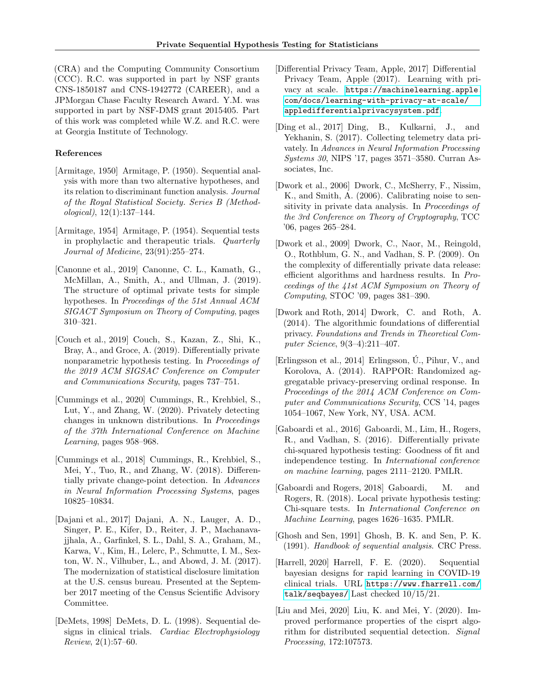(CRA) and the Computing Community Consortium (CCC). R.C. was supported in part by NSF grants CNS-1850187 and CNS-1942772 (CAREER), and a JPMorgan Chase Faculty Research Award. Y.M. was supported in part by NSF-DMS grant 2015405. Part of this work was completed while W.Z. and R.C. were at Georgia Institute of Technology.

#### References

- <span id="page-9-0"></span>[Armitage, 1950] Armitage, P. (1950). Sequential analysis with more than two alternative hypotheses, and its relation to discriminant function analysis. Journal of the Royal Statistical Society. Series B (Methodological), 12(1):137–144.
- <span id="page-9-1"></span>[Armitage, 1954] Armitage, P. (1954). Sequential tests in prophylactic and therapeutic trials. Quarterly Journal of Medicine, 23(91):255–274.
- <span id="page-9-15"></span>[Canonne et al., 2019] Canonne, C. L., Kamath, G., McMillan, A., Smith, A., and Ullman, J. (2019). The structure of optimal private tests for simple hypotheses. In Proceedings of the 51st Annual ACM SIGACT Symposium on Theory of Computing, pages 310–321.
- <span id="page-9-14"></span>[Couch et al., 2019] Couch, S., Kazan, Z., Shi, K., Bray, A., and Groce, A. (2019). Differentially private nonparametric hypothesis testing. In Proceedings of the 2019 ACM SIGSAC Conference on Computer and Communications Security, pages 737–751.
- <span id="page-9-17"></span>[Cummings et al., 2020] Cummings, R., Krehbiel, S., Lut, Y., and Zhang, W. (2020). Privately detecting changes in unknown distributions. In Proceedings of the 37th International Conference on Machine Learning, pages 958–968.
- <span id="page-9-16"></span>[Cummings et al., 2018] Cummings, R., Krehbiel, S., Mei, Y., Tuo, R., and Zhang, W. (2018). Differentially private change-point detection. In Advances in Neural Information Processing Systems, pages 10825–10834.
- <span id="page-9-7"></span>[Dajani et al., 2017] Dajani, A. N., Lauger, A. D., Singer, P. E., Kifer, D., Reiter, J. P., Machanavajjhala, A., Garfinkel, S. L., Dahl, S. A., Graham, M., Karwa, V., Kim, H., Lelerc, P., Schmutte, I. M., Sexton, W. N., Vilhuber, L., and Abowd, J. M. (2017). The modernization of statistical disclosure limitation at the U.S. census bureau. Presented at the September 2017 meeting of the Census Scientific Advisory Committee.
- <span id="page-9-8"></span>[DeMets, 1998] DeMets, D. L. (1998). Sequential designs in clinical trials. Cardiac Electrophysiology  $Review, 2(1):57-60.$
- <span id="page-9-5"></span>[Differential Privacy Team, Apple, 2017] Differential Privacy Team, Apple (2017). Learning with privacy at scale. [https://machinelearning.apple.](https://machinelearning.apple.com/docs/learning-with-privacy-at-scale/appledifferentialprivacysystem.pdf) [com/docs/learning-with-privacy-at-scale/](https://machinelearning.apple.com/docs/learning-with-privacy-at-scale/appledifferentialprivacysystem.pdf) [appledifferentialprivacysystem.pdf](https://machinelearning.apple.com/docs/learning-with-privacy-at-scale/appledifferentialprivacysystem.pdf).
- <span id="page-9-6"></span>[Ding et al., 2017] Ding, B., Kulkarni, J., and Yekhanin, S. (2017). Collecting telemetry data privately. In Advances in Neural Information Processing Systems 30, NIPS '17, pages 3571–3580. Curran Associates, Inc.
- <span id="page-9-3"></span>[Dwork et al., 2006] Dwork, C., McSherry, F., Nissim, K., and Smith, A. (2006). Calibrating noise to sensitivity in private data analysis. In Proceedings of the 3rd Conference on Theory of Cryptography, TCC '06, pages 265–284.
- <span id="page-9-10"></span>[Dwork et al., 2009] Dwork, C., Naor, M., Reingold, O., Rothblum, G. N., and Vadhan, S. P. (2009). On the complexity of differentially private data release: efficient algorithms and hardness results. In Proceedings of the 41st ACM Symposium on Theory of Computing, STOC '09, pages 381–390.
- <span id="page-9-11"></span>[Dwork and Roth, 2014] Dwork, C. and Roth, A. (2014). The algorithmic foundations of differential privacy. Foundations and Trends in Theoretical Computer Science, 9(3–4):211–407.
- <span id="page-9-4"></span>[Erlingsson et al., 2014] Erlingsson, U., Pihur, V., and Korolova, A. (2014). RAPPOR: Randomized aggregatable privacy-preserving ordinal response. In Proceedings of the 2014 ACM Conference on Computer and Communications Security, CCS '14, pages 1054–1067, New York, NY, USA. ACM.
- <span id="page-9-12"></span>[Gaboardi et al., 2016] Gaboardi, M., Lim, H., Rogers, R., and Vadhan, S. (2016). Differentially private chi-squared hypothesis testing: Goodness of fit and independence testing. In International conference on machine learning, pages 2111–2120. PMLR.
- <span id="page-9-13"></span>[Gaboardi and Rogers, 2018] Gaboardi, M. and Rogers, R. (2018). Local private hypothesis testing: Chi-square tests. In International Conference on Machine Learning, pages 1626–1635. PMLR.
- <span id="page-9-2"></span>[Ghosh and Sen, 1991] Ghosh, B. K. and Sen, P. K. (1991). Handbook of sequential analysis. CRC Press.
- <span id="page-9-9"></span>[Harrell, 2020] Harrell, F. E. (2020). Sequential bayesian designs for rapid learning in COVID-19 clinical trials. URL [https://www.fharrell.com/](https://www.fharrell.com/talk/seqbayes/) [talk/seqbayes/](https://www.fharrell.com/talk/seqbayes/) Last checked 10/15/21.
- <span id="page-9-18"></span>[Liu and Mei, 2020] Liu, K. and Mei, Y. (2020). Improved performance properties of the cisprt algorithm for distributed sequential detection. Signal Processing, 172:107573.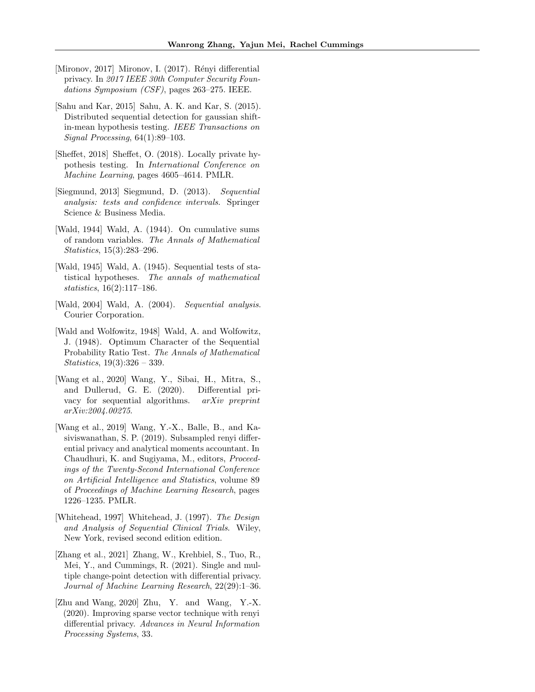- <span id="page-10-6"></span>[Mironov, 2017] Mironov, I.  $(2017)$ . Rényi differential privacy. In 2017 IEEE 30th Computer Security Foundations Symposium (CSF), pages 263–275. IEEE.
- <span id="page-10-12"></span>[Sahu and Kar, 2015] Sahu, A. K. and Kar, S. (2015). Distributed sequential detection for gaussian shiftin-mean hypothesis testing. IEEE Transactions on Signal Processing, 64(1):89–103.
- <span id="page-10-8"></span>[Sheffet, 2018] Sheffet, O. (2018). Locally private hypothesis testing. In International Conference on Machine Learning, pages 4605–4614. PMLR.
- <span id="page-10-2"></span>[Siegmund, 2013] Siegmund, D. (2013). Sequential analysis: tests and confidence intervals. Springer Science & Business Media.
- <span id="page-10-11"></span>[Wald, 1944] Wald, A. (1944). On cumulative sums of random variables. The Annals of Mathematical Statistics, 15(3):283–296.
- <span id="page-10-0"></span>[Wald, 1945] Wald, A. (1945). Sequential tests of statistical hypotheses. The annals of mathematical statistics, 16(2):117–186.
- <span id="page-10-1"></span>[Wald, 2004] Wald, A. (2004). Sequential analysis. Courier Corporation.
- <span id="page-10-4"></span>[Wald and Wolfowitz, 1948] Wald, A. and Wolfowitz, J. (1948). Optimum Character of the Sequential Probability Ratio Test. The Annals of Mathematical Statistics, 19(3):326 – 339.
- <span id="page-10-10"></span>[Wang et al., 2020] Wang, Y., Sibai, H., Mitra, S., and Dullerud, G. E. (2020). Differential privacy for sequential algorithms. arXiv preprint arXiv:2004.00275.
- <span id="page-10-7"></span>[Wang et al., 2019] Wang, Y.-X., Balle, B., and Kasiviswanathan, S. P. (2019). Subsampled renyi differential privacy and analytical moments accountant. In Chaudhuri, K. and Sugiyama, M., editors, Proceedings of the Twenty-Second International Conference on Artificial Intelligence and Statistics, volume 89 of Proceedings of Machine Learning Research, pages 1226–1235. PMLR.
- <span id="page-10-3"></span>[Whitehead, 1997] Whitehead, J. (1997). The Design and Analysis of Sequential Clinical Trials. Wiley, New York, revised second edition edition.
- <span id="page-10-9"></span>[Zhang et al., 2021] Zhang, W., Krehbiel, S., Tuo, R., Mei, Y., and Cummings, R. (2021). Single and multiple change-point detection with differential privacy. Journal of Machine Learning Research, 22(29):1–36.
- <span id="page-10-5"></span>[Zhu and Wang, 2020] Zhu, Y. and Wang, Y.-X. (2020). Improving sparse vector technique with renyi differential privacy. Advances in Neural Information Processing Systems, 33.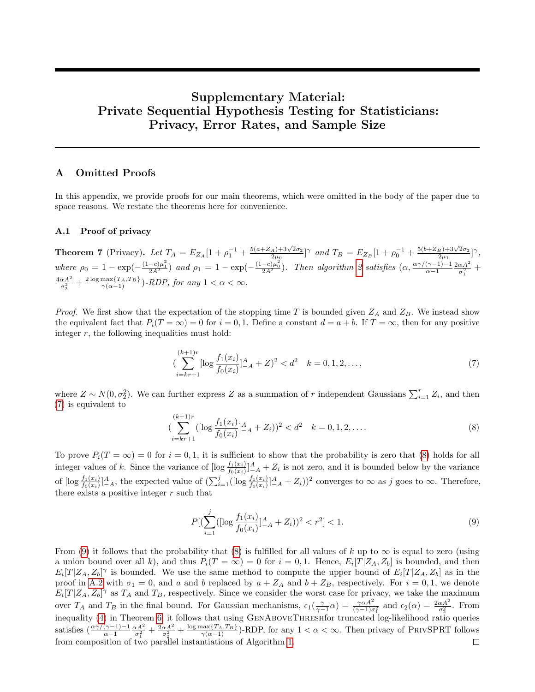# Supplementary Material: Private Sequential Hypothesis Testing for Statisticians: Privacy, Error Rates, and Sample Size

# A Omitted Proofs

In this appendix, we provide proofs for our main theorems, which were omitted in the body of the paper due to space reasons. We restate the theorems here for convenience.

## <span id="page-11-0"></span>A.1 Proof of privacy

**Theorem 7** (Privacy). Let  $T_A = E_{Z_A}[1 + \rho_1^{-1} + \frac{5(a+Z_A)+3\sqrt{2}\sigma_2}{2\mu_0}]$  $\frac{(-2)}{2\mu_0}$  and  $T_B = E_{Z_B} [1 + \rho_0^{-1} + \frac{5(b + Z_B) + 3\sqrt{2}\sigma_2}{2\mu_1}]$  $\frac{1}{2\mu_1}$   $\left[\gamma,\right]$ where  $\rho_0 = 1 - \exp(-\frac{(1-c)\mu_1^2}{2A^2})$  and  $\rho_1 = 1 - \exp(-\frac{(1-c)\mu_0^2}{2A^2})$ . Then algorithm [2](#page-5-1) satisfies  $(\alpha, \frac{\alpha\gamma/(\gamma-1)-1}{\alpha-1})$  $\frac{(\gamma-1)-1}{\alpha-1} \frac{2\alpha A^2}{\sigma_1^2}$  +  $\frac{4\alpha A^2}{\sigma_2^2} + \frac{2\log \max\{T_A, T_B\}}{\gamma(\alpha-1)})$ -RDP, for any  $1 < \alpha < \infty$ .

*Proof.* We first show that the expectation of the stopping time T is bounded given  $Z_A$  and  $Z_B$ . We instead show the equivalent fact that  $P_i(T = \infty) = 0$  for  $i = 0, 1$ . Define a constant  $d = a + b$ . If  $T = \infty$ , then for any positive integer  $r$ , the following inequalities must hold:

<span id="page-11-1"></span>
$$
\left(\sum_{i=kr+1}^{(k+1)r} [\log \frac{f_1(x_i)}{f_0(x_i)}]_{-A}^A + Z \right)^2 < d^2 \quad k = 0, 1, 2, \dots,\tag{7}
$$

where  $Z \sim N(0, \sigma_2^2)$ . We can further express Z as a summation of r independent Gaussians  $\sum_{i=1}^r Z_i$ , and then [\(7\)](#page-11-1) is equivalent to

<span id="page-11-2"></span>
$$
\left(\sum_{i=kr+1}^{(k+1)r} ([\log \frac{f_1(x_i)}{f_0(x_i)}]_{-A}^A + Z_i)\right)^2 < d^2 \quad k = 0, 1, 2, \dots \tag{8}
$$

To prove  $P_i(T = \infty) = 0$  for  $i = 0, 1$ , it is sufficient to show that the probability is zero that [\(8\)](#page-11-2) holds for all integer values of k. Since the variance of  $[\log \frac{f_1(x_i)}{f_0(x_i)}]^A_A + Z_i$  is not zero, and it is bounded below by the variance of  $[\log \frac{f_1(x_i)}{f_0(x_i)}]_{-A}^A$ , the expected value of  $(\sum_{i=1}^j ([\log \frac{f_1(x_i)}{f_0(x_i)}]_{-A}^A + Z_i))^2$  converges to  $\infty$  as j goes to  $\infty$ . Therefore, there exists a positive integer  $r$  such that

<span id="page-11-3"></span>
$$
P\left[\left(\sum_{i=1}^{j} \left( [\log \frac{f_1(x_i)}{f_0(x_i)}]_{-A}^{A} + Z_i \right) \right)^2 < r^2 \right] < 1. \tag{9}
$$

From [\(9\)](#page-11-3) it follows that the probability that [\(8\)](#page-11-2) is fulfilled for all values of k up to  $\infty$  is equal to zero (using a union bound over all k), and thus  $P_i(T = \infty) = 0$  for  $i = 0, 1$ . Hence,  $E_i[T|Z_A, Z_b]$  is bounded, and then  $E_i[T|Z_A, Z_b]$ <sup> $\gamma$ </sup> is bounded. We use the same method to compute the upper bound of  $E_i[T|Z_A, Z_b]$  as in the proof in [A.2](#page-12-0) with  $\sigma_1 = 0$ , and a and b replaced by  $a + Z_A$  and  $b + Z_B$ , respectively. For  $i = 0, 1$ , we denote  $E_i[T|Z_A, Z_b]$ <sup> $\gamma$ </sup> as  $T_A$  and  $T_B$ , respectively. Since we consider the worst case for privacy, we take the maximum over  $T_A$  and  $T_B$  in the final bound. For Gaussian mechanisms,  $\epsilon_1(\frac{\gamma}{\gamma-1}\alpha) = \frac{\gamma\alpha A^2}{(\gamma-1)\sigma_1^2}$  and  $\epsilon_2(\alpha) = \frac{2\alpha A^2}{\sigma_2^2}$ . From inequality [\(4\)](#page-4-4) in Theorem [6,](#page-4-1) it follows that using GenAboveThreshfor truncated log-likelihood ratio queries satisfies  $\left(\frac{\alpha\gamma/(\gamma-1)-1}{\alpha-1}\frac{\alpha A^2}{\sigma_1^2}+\frac{2\alpha A^2}{\sigma_2^2}+\frac{\log\max\{T_A,T_B\}}{\gamma(\alpha-1)}\right)$ -RDP, for any  $1<\alpha<\infty$ . Then privacy of PRIVSPRT follows from composition of two parallel instantiations of Algorithm [1.](#page-4-0) $\Box$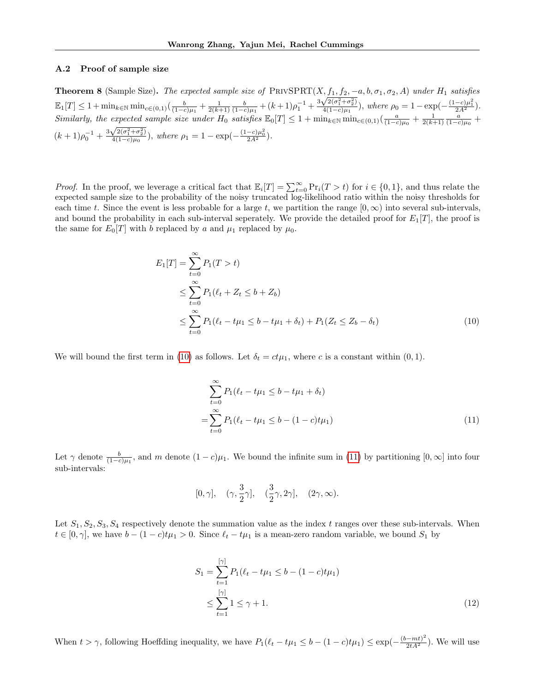#### <span id="page-12-0"></span>A.2 Proof of sample size

**Theorem 8** (Sample Size). The expected sample size of PRIVSPRT $(X, f_1, f_2, -a, b, \sigma_1, \sigma_2, A)$  under  $H_1$  satisfies **Theorem 8** (sample size). The expected sample size of PRIVSPRI( $\Lambda$ ,  $J_1, J_2$ ,  $\equiv$ <br>  $\mathbb{E}_1[T] \leq 1 + \min_{k \in \mathbb{N}} \min_{c \in (0,1)} \left( \frac{b}{(1-c)\mu_1} + \frac{1}{2(k+1)} \frac{b}{(1-c)\mu_1} + (k+1)\rho_1^{-1} + \frac{3\sqrt{2(\sigma_1^2 + \sigma_2^2)}}{4(1-c)\mu_1} \right)$  $\frac{\sqrt{2(\sigma_1^2+\sigma_2^2)}}{4(1-c)\mu_1}$ , where  $\rho_0=1-\exp(-\frac{(1-c)\mu_1^2}{2A^2})$ .  $Similarly, the expected sample size under H<sub>0</sub> satisfies \mathbb{E}_{0}[T] \leq 1 + \min_{k \in \mathbb{N}} \min_{c \in (0,1)} \left( \frac{a}{(1-c)\mu_{0}} + \frac{1}{2(k+1)} \frac{a}{(1-c)\mu_{0}} + \cdots \right)$  $(k+1)\rho_0^{-1}+\frac{3\sqrt{2(\sigma_1^2+\sigma_2^2)}}{4(1-c)\mu_0}$  $\frac{\sqrt{2(\sigma_1^2+\sigma_2^2)}}{4(1-c)\mu_0}$ , where  $\rho_1=1-\exp(-\frac{(1-c)\mu_0^2}{2A^2})$ .

*Proof.* In the proof, we leverage a critical fact that  $\mathbb{E}_i[T] = \sum_{t=0}^{\infty} \Pr_i(T > t)$  for  $i \in \{0, 1\}$ , and thus relate the expected sample size to the probability of the noisy truncated log-likelihood ratio within the noisy thresholds for each time t. Since the event is less probable for a large t, we partition the range  $[0, \infty)$  into several sub-intervals, and bound the probability in each sub-interval seperately. We provide the detailed proof for  $E_1[T]$ , the proof is the same for  $E_0[T]$  with b replaced by a and  $\mu_1$  replaced by  $\mu_0$ .

$$
E_1[T] = \sum_{t=0}^{\infty} P_1(T > t)
$$
  
\n
$$
\leq \sum_{t=0}^{\infty} P_1(\ell_t + Z_t \leq b + Z_b)
$$
  
\n
$$
\leq \sum_{t=0}^{\infty} P_1(\ell_t - t\mu_1 \leq b - t\mu_1 + \delta_t) + P_1(Z_t \leq Z_b - \delta_t)
$$
\n(10)

We will bound the first term in [\(10\)](#page-12-1) as follows. Let  $\delta_t = ct\mu_1$ , where c is a constant within (0,1).

<span id="page-12-2"></span><span id="page-12-1"></span>
$$
\sum_{t=0}^{\infty} P_1(\ell_t - t\mu_1 \le b - t\mu_1 + \delta_t)
$$
  
= 
$$
\sum_{t=0}^{\infty} P_1(\ell_t - t\mu_1 \le b - (1 - c)t\mu_1)
$$
 (11)

Let  $\gamma$  denote  $\frac{b}{(1-c)\mu_1}$ , and m denote  $(1-c)\mu_1$ . We bound the infinite sum in [\(11\)](#page-12-2) by partitioning  $[0,\infty]$  into four sub-intervals:

$$
[0,\gamma], \quad (\gamma,\frac{3}{2}\gamma], \quad (\frac{3}{2}\gamma,2\gamma], \quad (2\gamma,\infty).
$$

Let  $S_1, S_2, S_3, S_4$  respectively denote the summation value as the index t ranges over these sub-intervals. When  $t \in [0, \gamma]$ , we have  $b - (1 - c)t\mu_1 > 0$ . Since  $\ell_t - t\mu_1$  is a mean-zero random variable, we bound  $S_1$  by

<span id="page-12-3"></span>
$$
S_1 = \sum_{t=1}^{\lfloor \gamma \rfloor} P_1(\ell_t - t\mu_1 \le b - (1 - c)t\mu_1)
$$
  
 
$$
\le \sum_{t=1}^{\lfloor \gamma \rfloor} 1 \le \gamma + 1.
$$
 (12)

When  $t > \gamma$ , following Hoeffding inequality, we have  $P_1(\ell_t - t\mu_1 \leq b - (1 - c)t\mu_1) \leq \exp(-\frac{(b - mt)^2}{2tA^2})$ . We will use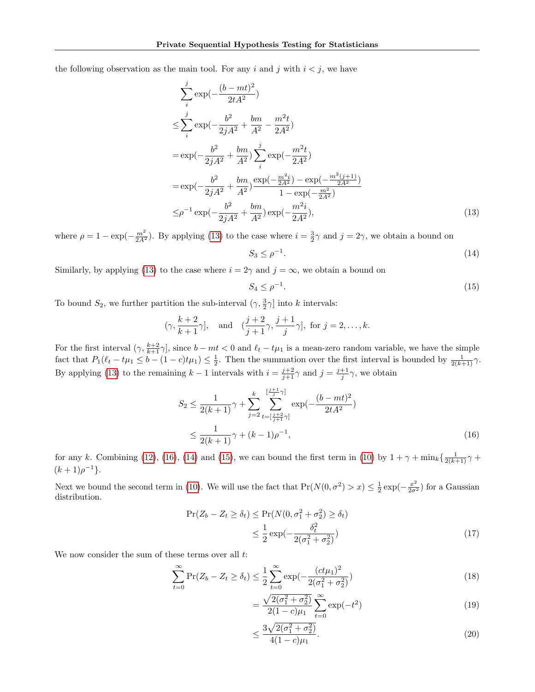the following observation as the main tool. For any i and j with  $i < j$ , we have

$$
\sum_{i}^{j} \exp\left(-\frac{(b - mt)^{2}}{2tA^{2}}\right)
$$
\n
$$
\leq \sum_{i}^{j} \exp\left(-\frac{b^{2}}{2jA^{2}} + \frac{bm}{A^{2}} - \frac{m^{2}t}{2A^{2}}\right)
$$
\n
$$
= \exp\left(-\frac{b^{2}}{2jA^{2}} + \frac{bm}{A^{2}}\right) \sum_{i}^{j} \exp\left(-\frac{m^{2}t}{2A^{2}}\right)
$$
\n
$$
= \exp\left(-\frac{b^{2}}{2jA^{2}} + \frac{bm}{A^{2}}\right) \frac{\exp\left(-\frac{m^{2}t}{2A^{2}}\right) - \exp\left(-\frac{m^{2}(j+1)}{2A^{2}}\right)}{1 - \exp\left(-\frac{m^{2}}{2A^{2}}\right)}
$$
\n
$$
\leq \rho^{-1} \exp\left(-\frac{b^{2}}{2jA^{2}} + \frac{bm}{A^{2}}\right) \exp\left(-\frac{m^{2}t}{2A^{2}}\right), \tag{13}
$$

where  $\rho = 1 - \exp(-\frac{m^2}{2A^2})$ . By applying [\(13\)](#page-13-0) to the case where  $i = \frac{3}{2}\gamma$  and  $j = 2\gamma$ , we obtain a bound on −1

<span id="page-13-2"></span><span id="page-13-0"></span>
$$
S_3 \le \rho^{-1}.\tag{14}
$$

Similarly, by applying [\(13\)](#page-13-0) to the case where  $i = 2\gamma$  and  $j = \infty$ , we obtain a bound on

<span id="page-13-3"></span><span id="page-13-1"></span>
$$
S_4 \le \rho^{-1}.\tag{15}
$$

To bound  $S_2$ , we further partition the sub-interval  $(\gamma, \frac{3}{2}\gamma]$  into k intervals:

$$
(\gamma, \frac{k+2}{k+1}\gamma],
$$
 and  $(\frac{j+2}{j+1}\gamma, \frac{j+1}{j}\gamma],$  for  $j = 2, ..., k$ .

For the first interval  $(\gamma, \frac{k+2}{k+1} \gamma]$ , since  $b - mt < 0$  and  $\ell_t - t\mu_1$  is a mean-zero random variable, we have the simple fact that  $P_1(\ell_t - t\mu_1 \leq b - (1-c)t\mu_1) \leq \frac{1}{2}$ . Then the summation over the first interval is bounded by  $\frac{1}{2(k+1)}\gamma$ . By applying [\(13\)](#page-13-0) to the remaining  $k-1$  intervals with  $i = \frac{j+2}{j+1}\gamma$  and  $j = \frac{j+1}{j}\gamma$ , we obtain

$$
S_2 \le \frac{1}{2(k+1)} \gamma + \sum_{j=2}^k \sum_{\substack{l=j+2 \ l \ne \lfloor \frac{j+2}{j+1} \gamma \rfloor}}^{\lfloor \frac{j+1}{j} \gamma \rfloor} \exp(-\frac{(b-mt)^2}{2tA^2})
$$
  
 
$$
\le \frac{1}{2(k+1)} \gamma + (k-1)\rho^{-1}, \tag{16}
$$

for any k. Combining [\(12\)](#page-12-3), [\(16\)](#page-13-1), [\(14\)](#page-13-2) and [\(15\)](#page-13-3), we can bound the first term in [\(10\)](#page-12-1) by  $1 + \gamma + \min_k {\frac{1}{2(k+1)}\gamma + \frac{1}{2(k+1)}}$  $(k+1)\rho^{-1}$ .

Next we bound the second term in [\(10\)](#page-12-1). We will use the fact that  $Pr(N(0, \sigma^2) > x) \leq \frac{1}{2} \exp(-\frac{x^2}{2\sigma^2})$  for a Gaussian distribution.

$$
\Pr(Z_b - Z_t \ge \delta_t) \le \Pr(N(0, \sigma_1^2 + \sigma_2^2) \ge \delta_t)
$$
  

$$
\le \frac{1}{2} \exp(-\frac{\delta_t^2}{2(\sigma_1^2 + \sigma_2^2)})
$$
 (17)

We now consider the sum of these terms over all  $t$ :

$$
\sum_{t=0}^{\infty} \Pr(Z_b - Z_t \ge \delta_t) \le \frac{1}{2} \sum_{t=0}^{\infty} \exp(-\frac{(ct\mu_1)^2}{2(\sigma_1^2 + \sigma_2^2)})
$$
\n(18)

$$
=\frac{\sqrt{2(\sigma_1^2+\sigma_2^2)}}{2(1-c)\mu_1}\sum_{t=0}^{\infty}\exp(-t^2)
$$
\n(19)

$$
\leq \frac{3\sqrt{2(\sigma_1^2 + \sigma_2^2)}}{4(1 - c)\mu_1}.\tag{20}
$$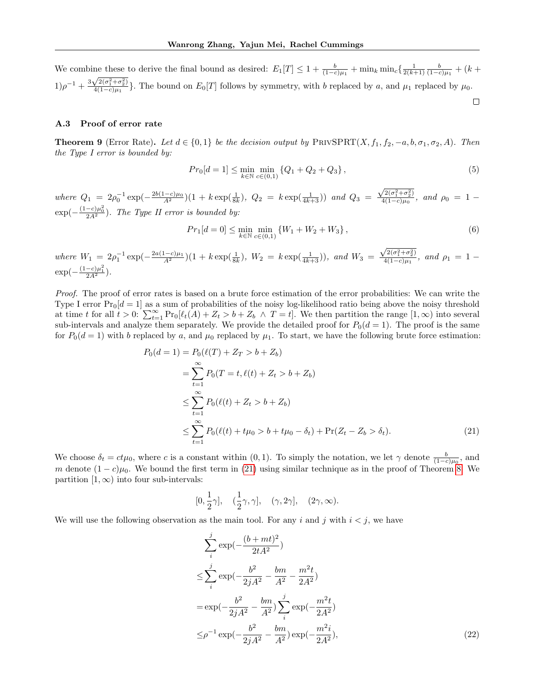We combine these to derive the final bound as desired:  $E_1[T] \leq 1 + \frac{b}{(1-c)\mu_1} + \min_k \min_c \left\{ \frac{1}{2(k+1)} \frac{b}{(1-c)\mu_1} + (k+1) \frac{b}{(1-c)\mu_2} + (k+1) \frac{b}{(1-c)\mu_1} + (k+1) \frac{b}{(1-c)\mu_1} + (k+1) \frac{b}{(1-c)\mu_1} + (k+1) \frac{b}{(1-c)\mu_1} + (k+1) \frac{b}{($  $(1)\rho^{-1} + \frac{3\sqrt{2(\sigma_1^2 + \sigma_2^2)}}{4(1-\epsilon)\mu_1}$  $\frac{\sqrt{2}(b_1+b_2)}{4(1-c)\mu_1}$ . The bound on  $E_0[T]$  follows by symmetry, with b replaced by a, and  $\mu_1$  replaced by  $\mu_0$ .

#### <span id="page-14-0"></span>A.3 Proof of error rate

**Theorem 9** (Error Rate). Let  $d \in \{0,1\}$  be the decision output by PRIVSPRT $(X, f_1, f_2, -a, b, \sigma_1, \sigma_2, A)$ . Then the Type I error is bounded by:

$$
Pr_0[d=1] \le \min_{k \in \mathbb{N}} \min_{c \in (0,1)} \{Q_1 + Q_2 + Q_3\},\tag{5}
$$

 $\Box$ 

where  $Q_1 = 2\rho_0^{-1} \exp(-\frac{2b(1-c)\mu_0}{A^2})(1+k \exp(\frac{1}{8k}), Q_2 = k \exp(\frac{1}{4k+3}))$  and  $Q_3 =$  $\sqrt{2(\sigma_{1}^{2}+\sigma_{2}^{2})}$  $\frac{4(1-c)\mu_0}{4(1-c)\mu_0}$ , and  $\rho_0 = 1 \exp(-\frac{(1-c)\mu_0^2}{2A^2})$ . The Type II error is bounded by:

$$
Pr_1[d=0] \le \min_{k \in \mathbb{N}} \min_{c \in (0,1)} \{ W_1 + W_2 + W_3 \},\tag{6}
$$

where  $W_1 = 2\rho_1^{-1} \exp(-\frac{2a(1-c)\mu_1}{A^2})(1+k \exp(\frac{1}{8k}), W_2 = k \exp(\frac{1}{4k+3})),$  and  $W_3 =$  $\sqrt{2(\sigma_{1}^{2}+\sigma_{2}^{2})}$  $\frac{\sqrt{2(0+1)}(0+1)}{4(1-c)\mu_1}$ , and  $\rho_1 = 1 \exp(-\frac{(1-c)\mu_1^2}{2A^2}).$ 

Proof. The proof of error rates is based on a brute force estimation of the error probabilities: We can write the Type I error  $Pr_0[d = 1]$  as a sum of probabilities of the noisy log-likelihood ratio being above the noisy threshold at time t for all  $t > 0$ :  $\sum_{t=1}^{\infty} \Pr_0[\ell_t(A) + Z_t > b + Z_b \land T = t]$ . We then partition the range  $[1, \infty)$  into several sub-intervals and analyze them separately. We provide the detailed proof for  $P_0(d = 1)$ . The proof is the same for  $P_0(d = 1)$  with b replaced by a, and  $\mu_0$  replaced by  $\mu_1$ . To start, we have the following brute force estimation:

$$
P_0(d = 1) = P_0(\ell(T) + Z_T > b + Z_b)
$$
  
= 
$$
\sum_{t=1}^{\infty} P_0(T = t, \ell(t) + Z_t > b + Z_b)
$$
  

$$
\leq \sum_{t=1}^{\infty} P_0(\ell(t) + Z_t > b + Z_b)
$$
  

$$
\leq \sum_{t=1}^{\infty} P_0(\ell(t) + t\mu_0 > b + t\mu_0 - \delta_t) + \Pr(Z_t - Z_b > \delta_t).
$$
 (21)

We choose  $\delta_t = ct\mu_0$ , where c is a constant within  $(0,1)$ . To simply the notation, we let  $\gamma$  denote  $\frac{b}{(1-c)\mu_0}$ , and m denote  $(1 - c)\mu_0$ . We bound the first term in [\(21\)](#page-14-1) using similar technique as in the proof of Theorem [8.](#page-6-0) We partition  $[1, \infty)$  into four sub-intervals:

<span id="page-14-1"></span>
$$
0, \frac{1}{2}\gamma], \quad (\frac{1}{2}\gamma, \gamma], \quad (\gamma, 2\gamma], \quad (2\gamma, \infty).
$$

We will use the following observation as the main tool. For any i and j with  $i < j$ , we have

 $\sqrt{2}$ 

<span id="page-14-2"></span>
$$
\sum_{i}^{j} \exp\left(-\frac{(b+mt)^2}{2tA^2}\right)
$$
\n
$$
\leq \sum_{i}^{j} \exp\left(-\frac{b^2}{2jA^2} - \frac{bm}{A^2} - \frac{m^2t}{2A^2}\right)
$$
\n
$$
= \exp\left(-\frac{b^2}{2jA^2} - \frac{bm}{A^2}\right) \sum_{i}^{j} \exp\left(-\frac{m^2t}{2A^2}\right)
$$
\n
$$
\leq \rho^{-1} \exp\left(-\frac{b^2}{2jA^2} - \frac{bm}{A^2}\right) \exp\left(-\frac{m^2i}{2A^2}\right),
$$
\n(22)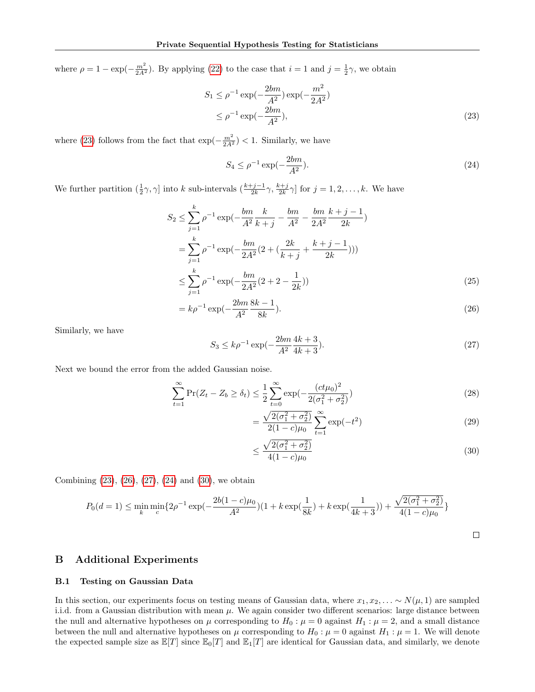where  $\rho = 1 - \exp(-\frac{m^2}{2A^2})$ . By applying [\(22\)](#page-14-2) to the case that  $i = 1$  and  $j = \frac{1}{2}\gamma$ , we obtain

$$
S_1 \le \rho^{-1} \exp(-\frac{2bm}{A^2}) \exp(-\frac{m^2}{2A^2})
$$
  
 
$$
\le \rho^{-1} \exp(-\frac{2bm}{A^2}), \tag{23}
$$

where [\(23\)](#page-15-2) follows from the fact that  $\exp(-\frac{m^2}{2A^2})$  < 1. Similarly, we have

<span id="page-15-5"></span><span id="page-15-2"></span>
$$
S_4 \le \rho^{-1} \exp(-\frac{2bm}{A^2}).\tag{24}
$$

We further partition  $(\frac{1}{2}\gamma, \gamma]$  into k sub-intervals  $\left(\frac{k+j-1}{2k}\gamma, \frac{k+j}{2k}\gamma\right]$  for  $j = 1, 2, \ldots, k$ . We have

$$
S_2 \le \sum_{j=1}^k \rho^{-1} \exp\left(-\frac{bm}{A^2} \frac{k}{k+j} - \frac{bm}{A^2} - \frac{bm}{2A^2} \frac{k+j-1}{2k}\right)
$$
  
= 
$$
\sum_{j=1}^k \rho^{-1} \exp\left(-\frac{bm}{2A^2} (2 + \left(\frac{2k}{k+j} + \frac{k+j-1}{2k}\right))\right)
$$
  

$$
\le \sum_{j=1}^k \rho^{-1} \exp\left(-\frac{bm}{2A^2} (2 + 2 - \frac{1}{2k})\right)
$$
 (25)

$$
=k\rho^{-1}\exp(-\frac{2bm}{A^2}\frac{8k-1}{8k}).
$$
\n(26)

Similarly, we have

<span id="page-15-4"></span>
$$
S_3 \le k\rho^{-1} \exp\left(-\frac{2bm}{A^2}\frac{4k+3}{4k+3}\right). \tag{27}
$$

Next we bound the error from the added Gaussian noise.

$$
\sum_{t=1}^{\infty} \Pr(Z_t - Z_b \ge \delta_t) \le \frac{1}{2} \sum_{t=0}^{\infty} \exp(-\frac{(ct\mu_0)^2}{2(\sigma_1^2 + \sigma_2^2)})
$$
\n(28)

<span id="page-15-3"></span>
$$
=\frac{\sqrt{2(\sigma_1^2+\sigma_2^2)}}{2(1-c)\mu_0}\sum_{t=1}^{\infty}\exp(-t^2)
$$
\n(29)

<span id="page-15-6"></span>
$$
\leq \frac{\sqrt{2(\sigma_1^2 + \sigma_2^2)}}{4(1 - c)\mu_0} \tag{30}
$$

Combining [\(23\)](#page-15-2), [\(26\)](#page-15-3), [\(27\)](#page-15-4), [\(24\)](#page-15-5) and [\(30\)](#page-15-6), we obtain

$$
P_0(d=1) \le \min_k \min_c \{ 2\rho^{-1} \exp(-\frac{2b(1-c)\mu_0}{A^2})(1+k\exp(\frac{1}{8k})+k\exp(\frac{1}{4k+3})) + \frac{\sqrt{2(\sigma_1^2+\sigma_2^2)}}{4(1-c)\mu_0} \}
$$

# <span id="page-15-1"></span>B Additional Experiments

#### <span id="page-15-0"></span>B.1 Testing on Gaussian Data

In this section, our experiments focus on testing means of Gaussian data, where  $x_1, x_2, \ldots \sim N(\mu, 1)$  are sampled i.i.d. from a Gaussian distribution with mean  $\mu$ . We again consider two different scenarios: large distance between the null and alternative hypotheses on  $\mu$  corresponding to  $H_0$ :  $\mu = 0$  against  $H_1$ :  $\mu = 2$ , and a small distance between the null and alternative hypotheses on  $\mu$  corresponding to  $H_0$ :  $\mu = 0$  against  $H_1$ :  $\mu = 1$ . We will denote the expected sample size as  $\mathbb{E}[T]$  since  $\mathbb{E}_0[T]$  and  $\mathbb{E}_1[T]$  are identical for Gaussian data, and similarly, we denote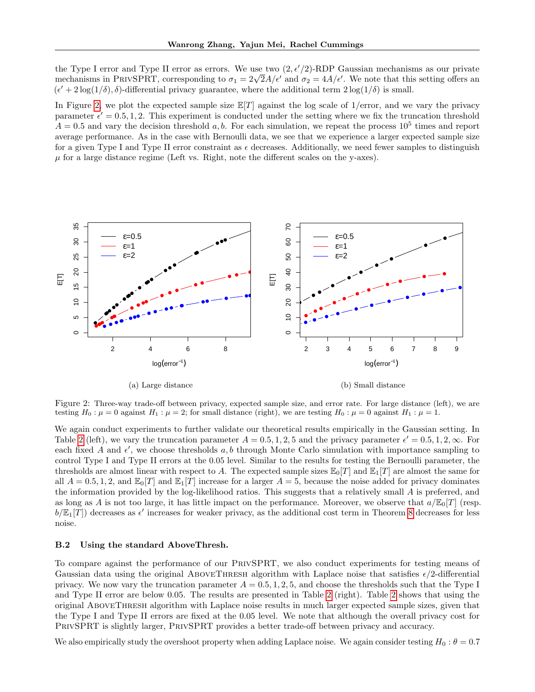the Type I error and Type II error as errors. We use two  $(2, \epsilon'/2)$ -RDP Gaussian mechanisms as our private the Type I error and Type II error as errors. We use two  $(2, \epsilon/2)$ -KDP Gaussian mechanisms as our private mechanisms in PRIVSPRT, corresponding to  $\sigma_1 = 2\sqrt{2}A/\epsilon'$  and  $\sigma_2 = 4A/\epsilon'$ . We note that this setting offers an  $(\epsilon' + 2\log(1/\delta), \delta)$ -differential privacy guarantee, where the additional term  $2\log(1/\delta)$  is small.

In Figure [2,](#page-16-1) we plot the expected sample size  $\mathbb{E}[T]$  against the log scale of 1/error, and we vary the privacy parameter  $\epsilon' = 0.5, 1, 2$ . This experiment is conducted under the setting where we fix the truncation threshold  $A = 0.5$  and vary the decision threshold a, b. For each simulation, we repeat the process  $10^5$  times and report average performance. As in the case with Bernoulli data, we see that we experience a larger expected sample size for a given Type I and Type II error constraint as  $\epsilon$  decreases. Additionally, we need fewer samples to distinguish  $\mu$  for a large distance regime (Left vs. Right, note the different scales on the y-axes).

<span id="page-16-1"></span>

Figure 2: Three-way trade-off between privacy, expected sample size, and error rate. For large distance (left), we are testing  $H_0: \mu = 0$  against  $H_1: \mu = 2$ ; for small distance (right), we are testing  $H_0: \mu = 0$  against  $H_1: \mu = 1$ .

We again conduct experiments to further validate our theoretical results empirically in the Gaussian setting. In Table [2](#page-17-0) (left), we vary the truncation parameter  $A = 0.5, 1, 2, 5$  and the privacy parameter  $\epsilon' = 0.5, 1, 2, \infty$ . For each fixed  $\vec{A}$  and  $\epsilon'$ , we choose thresholds  $a, b$  through Monte Carlo simulation with importance sampling to control Type I and Type II errors at the 0.05 level. Similar to the results for testing the Bernoulli parameter, the thresholds are almost linear with respect to A. The expected sample sizes  $\mathbb{E}_0[T]$  and  $\mathbb{E}_1[T]$  are almost the same for all  $A = 0.5, 1, 2$ , and  $\mathbb{E}_{0}[T]$  and  $\mathbb{E}_{1}[T]$  increase for a larger  $A = 5$ , because the noise added for privacy dominates the information provided by the log-likelihood ratios. This suggests that a relatively small A is preferred, and as long as A is not too large, it has little impact on the performance. Moreover, we observe that  $a/\mathbb{E}_0[T]$  (resp.  $b/\mathbb{E}_1[T]$ ) decreases as  $\epsilon'$  increases for weaker privacy, as the additional cost term in Theorem [8](#page-6-0) decreases for less noise.

#### <span id="page-16-0"></span>B.2 Using the standard AboveThresh.

To compare against the performance of our PrivSPRT, we also conduct experiments for testing means of Gaussian data using the original ABOVETHRESH algorithm with Laplace noise that satisfies  $\epsilon/2$ -differential privacy. We now vary the truncation parameter  $A = 0.5, 1, 2, 5$ , and choose the thresholds such that the Type I and Type II error are below 0.05. The results are presented in Table [2](#page-17-0) (right). Table [2](#page-17-0) shows that using the original AboveThresh algorithm with Laplace noise results in much larger expected sample sizes, given that the Type I and Type II errors are fixed at the 0.05 level. We note that although the overall privacy cost for PrivSPRT is slightly larger, PrivSPRT provides a better trade-off between privacy and accuracy.

We also empirically study the overshoot property when adding Laplace noise. We again consider testing  $H_0$ :  $\theta = 0.7$